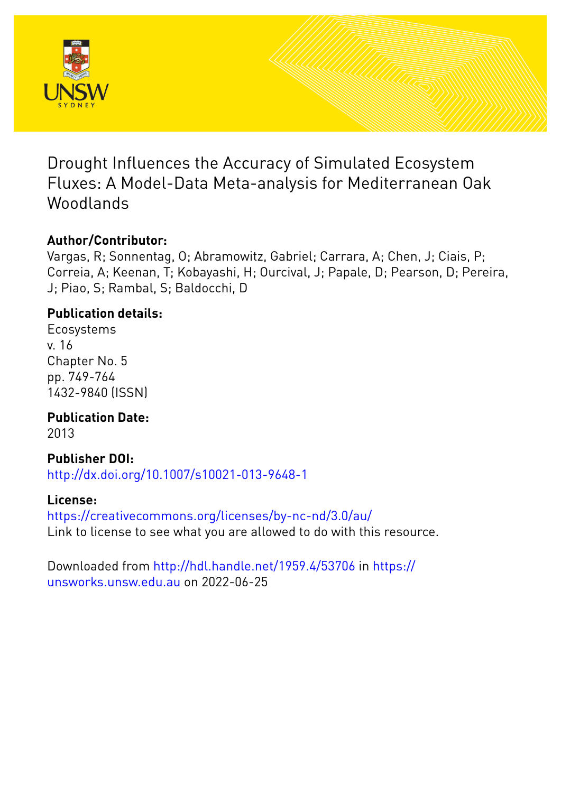

Drought Influences the Accuracy of Simulated Ecosystem Fluxes: A Model-Data Meta-analysis for Mediterranean Oak Woodlands

# **Author/Contributor:**

Vargas, R; Sonnentag, O; Abramowitz, Gabriel; Carrara, A; Chen, J; Ciais, P; Correia, A; Keenan, T; Kobayashi, H; Ourcival, J; Papale, D; Pearson, D; Pereira, J; Piao, S; Rambal, S; Baldocchi, D

# **Publication details:**

Ecosystems v. 16 Chapter No. 5 pp. 749-764 1432-9840 (ISSN)

**Publication Date:**

2013

# **Publisher DOI:**

[http://dx.doi.org/10.1007/s10021-013-9648-1](http://dx.doi.org/http://dx.doi.org/10.1007/s10021-013-9648-1)

# **License:**

<https://creativecommons.org/licenses/by-nc-nd/3.0/au/> Link to license to see what you are allowed to do with this resource.

Downloaded from <http://hdl.handle.net/1959.4/53706> in [https://](https://unsworks.unsw.edu.au) [unsworks.unsw.edu.au](https://unsworks.unsw.edu.au) on 2022-06-25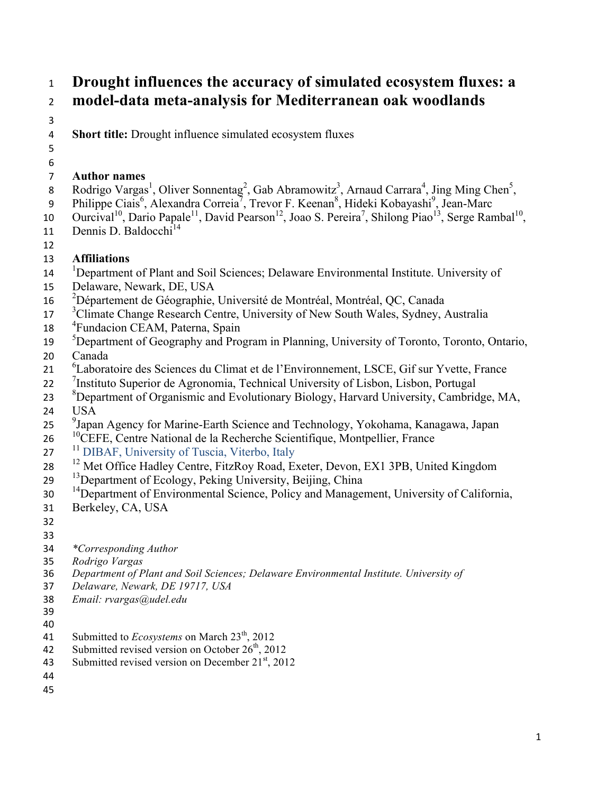# <sup>1</sup> **Drought influences the accuracy of simulated ecosystem fluxes: a**  <sup>2</sup> **model-data meta-analysis for Mediterranean oak woodlands**

3

4 **Short title:** Drought influence simulated ecosystem fluxes

5 6

### 7 **Author names**

- 8 Rodrigo Vargas<sup>1</sup>, Oliver Sonnentag<sup>2</sup>, Gab Abramowitz<sup>3</sup>, Arnaud Carrara<sup>4</sup>, Jing Ming Chen<sup>5</sup>,
- 9 Philippe Ciais<sup>6</sup>, Alexandra Correia<sup>7</sup>, Trevor F. Keenan<sup>8</sup>, Hideki Kobayashi<sup>9</sup>, Jean-Marc
- 10 Ourcival<sup>10</sup>, Dario Papale<sup>11</sup>, David Pearson<sup>12</sup>, Joao S. Pereira<sup>7</sup>, Shilong Piao<sup>13</sup>, Serge Rambal<sup>10</sup>,
- 11 Dennis D. Baldocchi<sup>14</sup>
- 12

### 13 **Affiliations**

- <sup>1</sup> Department of Plant and Soil Sciences; Delaware Environmental Institute. University of
- 15 Delaware, Newark, DE, USA
- <sup>2</sup> 16 Département de Géographie, Université de Montréal, Montréal, QC, Canada
- <sup>3</sup> Climate Change Research Centre, University of New South Wales, Sydney, Australia
- 18 <sup>4</sup> Fundacion CEAM, Paterna, Spain
- <sup>5</sup> Department of Geography and Program in Planning, University of Toronto, Toronto, Ontario,
- 20 Canada
- <sup>6</sup> Laboratoire des Sciences du Climat et de l'Environnement, LSCE, Gif sur Yvette, France
- <sup>7</sup> 22 Instituto Superior de Agronomia, Technical University of Lisbon, Lisbon, Portugal
- <sup>8</sup> Department of Organismic and Evolutionary Biology, Harvard University, Cambridge, MA, 24 USA
- <sup>9</sup> Japan Agency for Marine-Earth Science and Technology, Yokohama, Kanagawa, Japan
- <sup>10</sup> 26 <sup>comp</sup>CEFE, Centre National de la Recherche Scientifique, Montpellier, France
- 27 <sup>11</sup> DIBAF, University of Tuscia, Viterbo, Italy
- <sup>12</sup> Met Office Hadley Centre, FitzRoy Road, Exeter, Devon, EX1 3PB, United Kingdom
- <sup>13</sup> Department of Ecology, Peking University, Beijing, China
- <sup>14</sup> Department of Environmental Science, Policy and Management, University of California,
- 31 Berkeley, CA, USA
- 32
- 33
- 34 *\*Corresponding Author*
- 35 *Rodrigo Vargas*
- 36 *Department of Plant and Soil Sciences; Delaware Environmental Institute. University of*
- 37 *Delaware, Newark, DE 19717, USA*
- 38 *Email: rvargas@udel.edu*
- 39 40
- 41 Submitted to *Ecosystems* on March 23<sup>th</sup>, 2012
- 42 Submitted revised version on October  $26<sup>th</sup>$ , 2012
- 43 Submitted revised version on December  $21<sup>st</sup>$ , 2012
- 44
- 45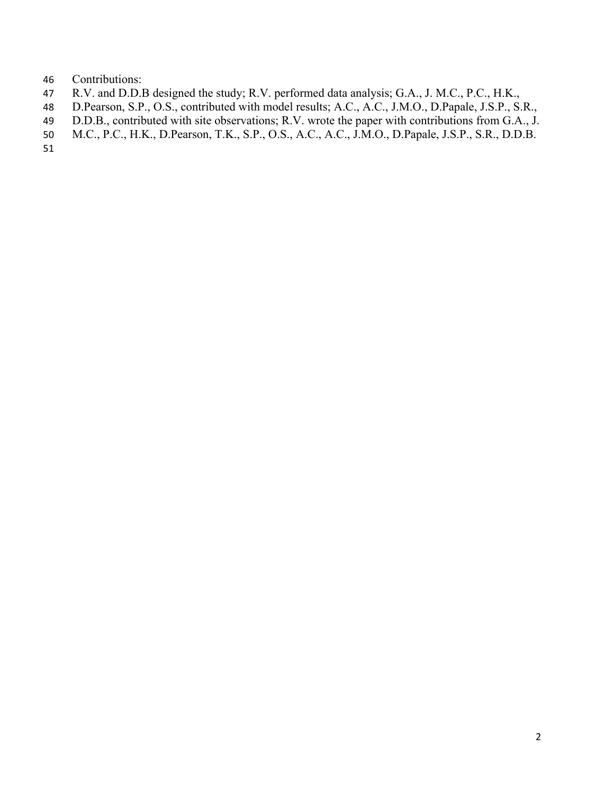- Contributions:
- R.V. and D.D.B designed the study; R.V. performed data analysis; G.A., J. M.C., P.C., H.K.,
- D.Pearson, S.P., O.S., contributed with model results; A.C., A.C., J.M.O., D.Papale, J.S.P., S.R.,
- D.D.B., contributed with site observations; R.V. wrote the paper with contributions from G.A., J.
- M.C., P.C., H.K., D.Pearson, T.K., S.P., O.S., A.C., A.C., J.M.O., D.Papale, J.S.P., S.R., D.D.B.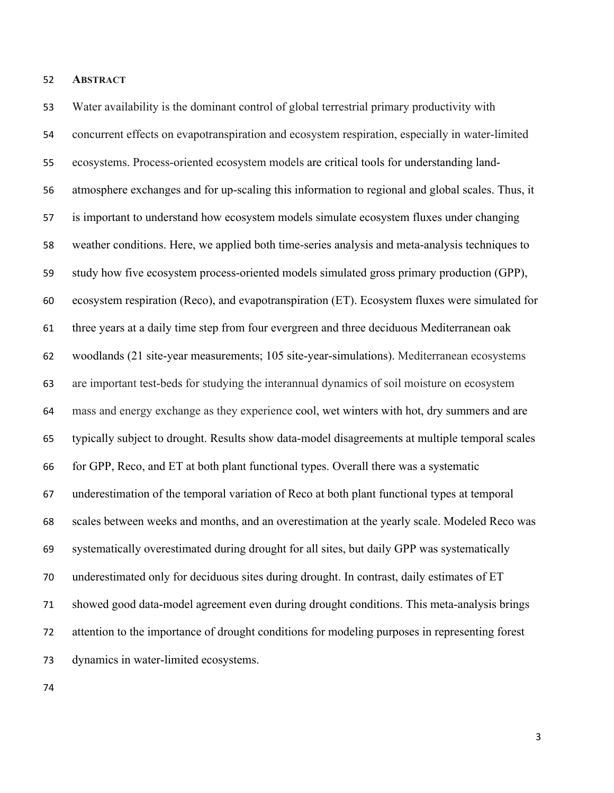#### **ABSTRACT**

 Water availability is the dominant control of global terrestrial primary productivity with concurrent effects on evapotranspiration and ecosystem respiration, especially in water-limited ecosystems. Process-oriented ecosystem models are critical tools for understanding land- atmosphere exchanges and for up-scaling this information to regional and global scales. Thus, it is important to understand how ecosystem models simulate ecosystem fluxes under changing weather conditions. Here, we applied both time-series analysis and meta-analysis techniques to study how five ecosystem process-oriented models simulated gross primary production (GPP), ecosystem respiration (Reco), and evapotranspiration (ET). Ecosystem fluxes were simulated for three years at a daily time step from four evergreen and three deciduous Mediterranean oak woodlands (21 site-year measurements; 105 site-year-simulations). Mediterranean ecosystems are important test-beds for studying the interannual dynamics of soil moisture on ecosystem mass and energy exchange as they experience cool, wet winters with hot, dry summers and are typically subject to drought. Results show data-model disagreements at multiple temporal scales for GPP, Reco, and ET at both plant functional types. Overall there was a systematic underestimation of the temporal variation of Reco at both plant functional types at temporal scales between weeks and months, and an overestimation at the yearly scale. Modeled Reco was systematically overestimated during drought for all sites, but daily GPP was systematically underestimated only for deciduous sites during drought. In contrast, daily estimates of ET showed good data-model agreement even during drought conditions. This meta-analysis brings attention to the importance of drought conditions for modeling purposes in representing forest dynamics in water-limited ecosystems.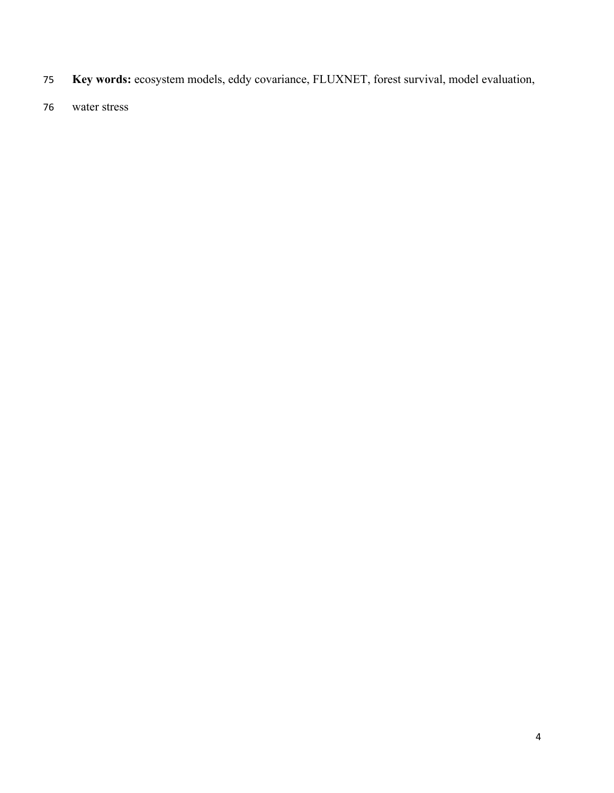- **Key words:** ecosystem models, eddy covariance, FLUXNET, forest survival, model evaluation,
- water stress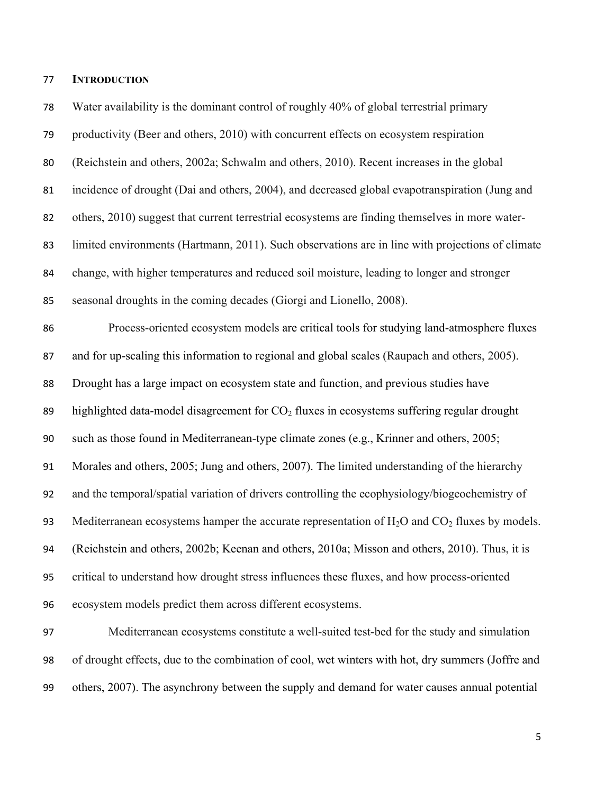### **INTRODUCTION**

 Water availability is the dominant control of roughly 40% of global terrestrial primary productivity (Beer and others, 2010) with concurrent effects on ecosystem respiration (Reichstein and others, 2002a; Schwalm and others, 2010). Recent increases in the global incidence of drought (Dai and others, 2004), and decreased global evapotranspiration (Jung and others, 2010) suggest that current terrestrial ecosystems are finding themselves in more water- limited environments (Hartmann, 2011). Such observations are in line with projections of climate change, with higher temperatures and reduced soil moisture, leading to longer and stronger seasonal droughts in the coming decades (Giorgi and Lionello, 2008). Process-oriented ecosystem models are critical tools for studying land-atmosphere fluxes and for up-scaling this information to regional and global scales (Raupach and others, 2005). Drought has a large impact on ecosystem state and function, and previous studies have 89 highlighted data-model disagreement for  $CO<sub>2</sub>$  fluxes in ecosystems suffering regular drought such as those found in Mediterranean-type climate zones (e.g., Krinner and others, 2005; Morales and others, 2005; Jung and others, 2007). The limited understanding of the hierarchy and the temporal/spatial variation of drivers controlling the ecophysiology/biogeochemistry of 93 Mediterranean ecosystems hamper the accurate representation of  $H_2O$  and  $CO_2$  fluxes by models. (Reichstein and others, 2002b; Keenan and others, 2010a; Misson and others, 2010). Thus, it is critical to understand how drought stress influences these fluxes, and how process-oriented ecosystem models predict them across different ecosystems. Mediterranean ecosystems constitute a well-suited test-bed for the study and simulation of drought effects, due to the combination of cool, wet winters with hot, dry summers (Joffre and others, 2007). The asynchrony between the supply and demand for water causes annual potential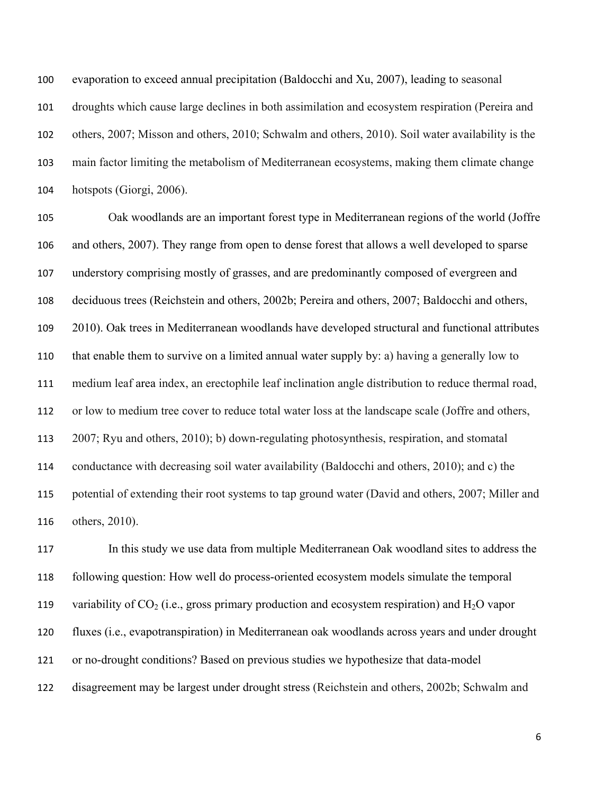evaporation to exceed annual precipitation (Baldocchi and Xu, 2007), leading to seasonal droughts which cause large declines in both assimilation and ecosystem respiration (Pereira and others, 2007; Misson and others, 2010; Schwalm and others, 2010). Soil water availability is the main factor limiting the metabolism of Mediterranean ecosystems, making them climate change hotspots (Giorgi, 2006).

 Oak woodlands are an important forest type in Mediterranean regions of the world (Joffre and others, 2007). They range from open to dense forest that allows a well developed to sparse understory comprising mostly of grasses, and are predominantly composed of evergreen and deciduous trees (Reichstein and others, 2002b; Pereira and others, 2007; Baldocchi and others, 2010). Oak trees in Mediterranean woodlands have developed structural and functional attributes that enable them to survive on a limited annual water supply by: a) having a generally low to medium leaf area index, an erectophile leaf inclination angle distribution to reduce thermal road, or low to medium tree cover to reduce total water loss at the landscape scale (Joffre and others, 2007; Ryu and others, 2010); b) down-regulating photosynthesis, respiration, and stomatal conductance with decreasing soil water availability (Baldocchi and others, 2010); and c) the potential of extending their root systems to tap ground water (David and others, 2007; Miller and others, 2010).

 In this study we use data from multiple Mediterranean Oak woodland sites to address the following question: How well do process-oriented ecosystem models simulate the temporal 119 variability of  $CO_2$  (i.e., gross primary production and ecosystem respiration) and  $H_2O$  vapor fluxes (i.e., evapotranspiration) in Mediterranean oak woodlands across years and under drought or no-drought conditions? Based on previous studies we hypothesize that data-model disagreement may be largest under drought stress (Reichstein and others, 2002b; Schwalm and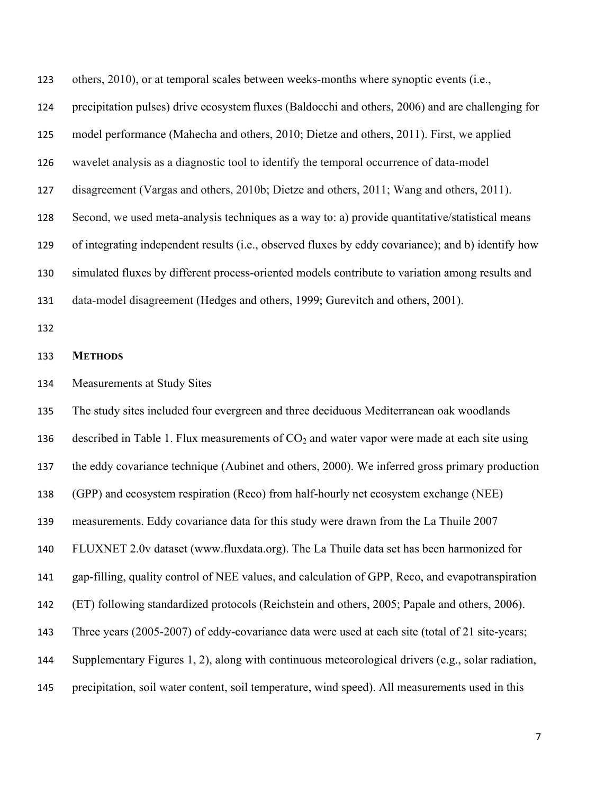| 123 | others, 2010), or at temporal scales between weeks-months where synoptic events (i.e.,             |
|-----|----------------------------------------------------------------------------------------------------|
| 124 | precipitation pulses) drive ecosystem fluxes (Baldocchi and others, 2006) and are challenging for  |
| 125 | model performance (Mahecha and others, 2010; Dietze and others, 2011). First, we applied           |
| 126 | wavelet analysis as a diagnostic tool to identify the temporal occurrence of data-model            |
| 127 | disagreement (Vargas and others, 2010b; Dietze and others, 2011; Wang and others, 2011).           |
| 128 | Second, we used meta-analysis techniques as a way to: a) provide quantitative/statistical means    |
| 129 | of integrating independent results (i.e., observed fluxes by eddy covariance); and b) identify how |
| 130 | simulated fluxes by different process-oriented models contribute to variation among results and    |
| 131 | data-model disagreement (Hedges and others, 1999; Gurevitch and others, 2001).                     |
| 132 |                                                                                                    |
| 133 | <b>METHODS</b>                                                                                     |
| 134 | Measurements at Study Sites                                                                        |
| 135 | The study sites included four evergreen and three deciduous Mediterranean oak woodlands            |
| 136 | described in Table 1. Flux measurements of $CO2$ and water vapor were made at each site using      |
| 137 | the eddy covariance technique (Aubinet and others, 2000). We inferred gross primary production     |
| 138 | (GPP) and ecosystem respiration (Reco) from half-hourly net ecosystem exchange (NEE)               |
| 139 | measurements. Eddy covariance data for this study were drawn from the La Thuile 2007               |
| 140 | FLUXNET 2.0v dataset (www.fluxdata.org). The La Thuile data set has been harmonized for            |
| 141 | gap-filling, quality control of NEE values, and calculation of GPP, Reco, and evapotranspiration   |
| 142 | (ET) following standardized protocols (Reichstein and others, 2005; Papale and others, 2006).      |
| 143 | Three years (2005-2007) of eddy-covariance data were used at each site (total of 21 site-years;    |
| 144 | Supplementary Figures 1, 2), along with continuous meteorological drivers (e.g., solar radiation,  |
| 145 | precipitation, soil water content, soil temperature, wind speed). All measurements used in this    |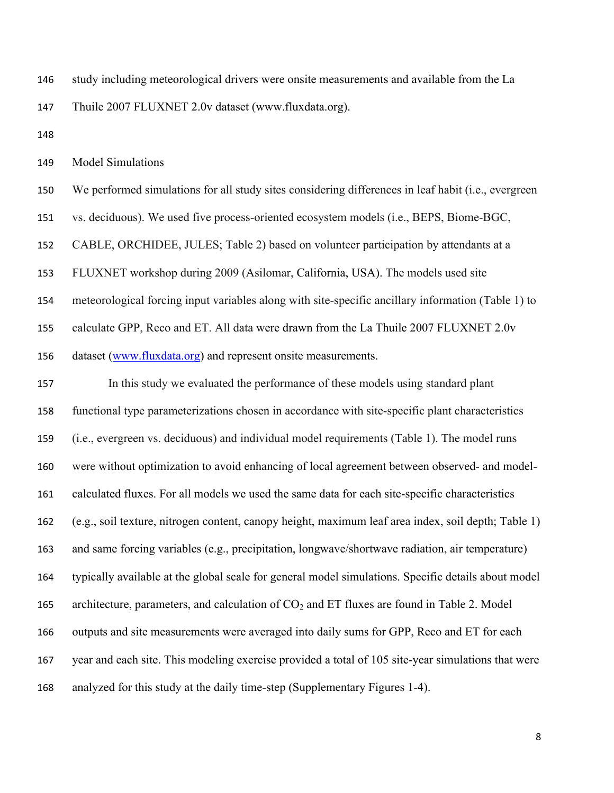study including meteorological drivers were onsite measurements and available from the La

Thuile 2007 FLUXNET 2.0v dataset (www.fluxdata.org).

Model Simulations

We performed simulations for all study sites considering differences in leaf habit (i.e., evergreen

vs. deciduous). We used five process-oriented ecosystem models (i.e., BEPS, Biome-BGC,

CABLE, ORCHIDEE, JULES; Table 2) based on volunteer participation by attendants at a

FLUXNET workshop during 2009 (Asilomar, California, USA). The models used site

meteorological forcing input variables along with site-specific ancillary information (Table 1) to

calculate GPP, Reco and ET. All data were drawn from the La Thuile 2007 FLUXNET 2.0v

dataset (www.fluxdata.org) and represent onsite measurements.

 In this study we evaluated the performance of these models using standard plant functional type parameterizations chosen in accordance with site-specific plant characteristics (i.e., evergreen vs. deciduous) and individual model requirements (Table 1). The model runs were without optimization to avoid enhancing of local agreement between observed- and model- calculated fluxes. For all models we used the same data for each site-specific characteristics (e.g., soil texture, nitrogen content, canopy height, maximum leaf area index, soil depth; Table 1) and same forcing variables (e.g., precipitation, longwave/shortwave radiation, air temperature) typically available at the global scale for general model simulations. Specific details about model 165 architecture, parameters, and calculation of  $CO<sub>2</sub>$  and ET fluxes are found in Table 2. Model outputs and site measurements were averaged into daily sums for GPP, Reco and ET for each year and each site. This modeling exercise provided a total of 105 site-year simulations that were analyzed for this study at the daily time-step (Supplementary Figures 1-4).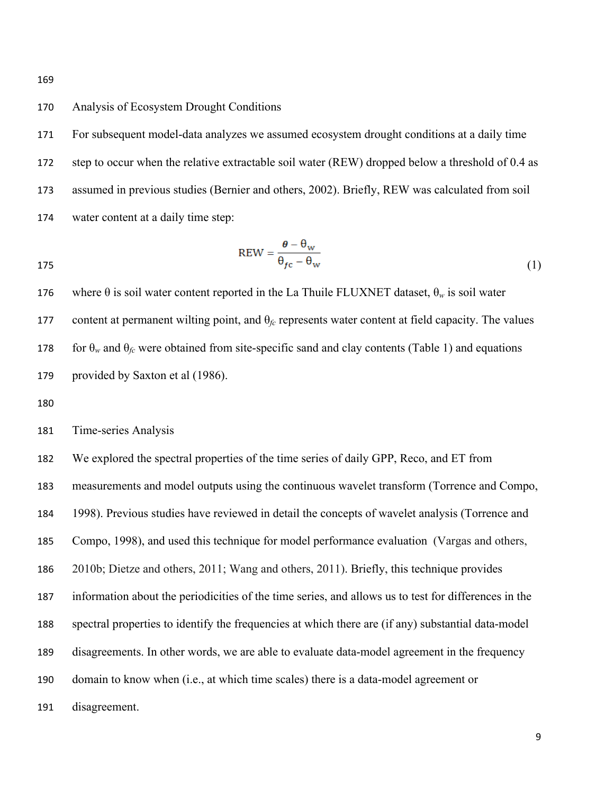Analysis of Ecosystem Drought Conditions

 For subsequent model-data analyzes we assumed ecosystem drought conditions at a daily time 172 step to occur when the relative extractable soil water (REW) dropped below a threshold of 0.4 as assumed in previous studies (Bernier and others, 2002). Briefly, REW was calculated from soil water content at a daily time step:

$$
REW = \frac{\theta - \theta_{w}}{\theta_{fc} - \theta_{w}}
$$
 (1)

176 where  $\theta$  is soil water content reported in the La Thuile FLUXNET dataset,  $\theta_w$  is soil water 177 content at permanent wilting point, and  $\theta_f$  represents water content at field capacity. The values 178 for  $\theta_w$  and  $\theta_{fc}$  were obtained from site-specific sand and clay contents (Table 1) and equations provided by Saxton et al (1986).

Time-series Analysis

We explored the spectral properties of the time series of daily GPP, Reco, and ET from

measurements and model outputs using the continuous wavelet transform (Torrence and Compo,

1998). Previous studies have reviewed in detail the concepts of wavelet analysis (Torrence and

Compo, 1998), and used this technique for model performance evaluation (Vargas and others,

2010b; Dietze and others, 2011; Wang and others, 2011). Briefly, this technique provides

information about the periodicities of the time series, and allows us to test for differences in the

spectral properties to identify the frequencies at which there are (if any) substantial data-model

- disagreements. In other words, we are able to evaluate data-model agreement in the frequency
- domain to know when (i.e., at which time scales) there is a data-model agreement or

disagreement.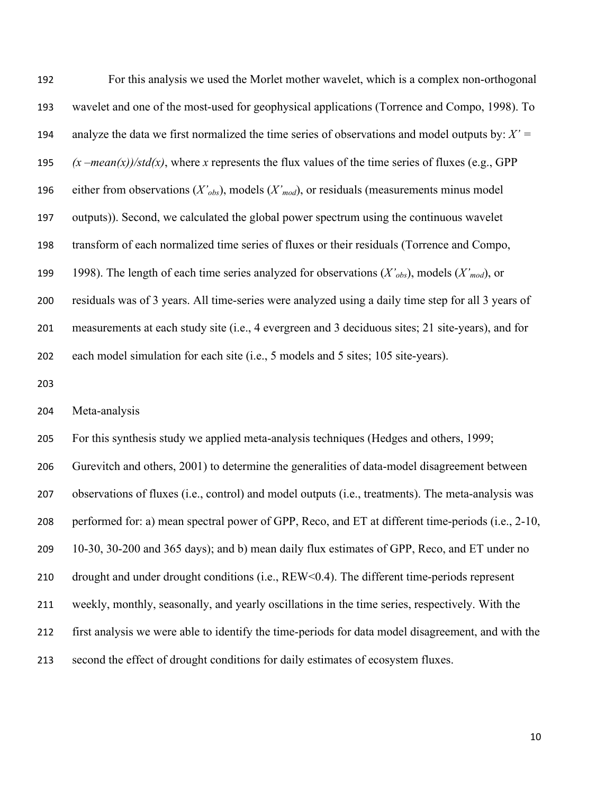| 192 | For this analysis we used the Morlet mother wavelet, which is a complex non-orthogonal                  |
|-----|---------------------------------------------------------------------------------------------------------|
| 193 | wavelet and one of the most-used for geophysical applications (Torrence and Compo, 1998). To            |
| 194 | analyze the data we first normalized the time series of observations and model outputs by: $X' =$       |
| 195 | $(x - mean(x))/std(x)$ , where x represents the flux values of the time series of fluxes (e.g., GPP     |
| 196 | either from observations ( $X'_{obs}$ ), models ( $X'_{mod}$ ), or residuals (measurements minus model  |
| 197 | outputs)). Second, we calculated the global power spectrum using the continuous wavelet                 |
| 198 | transform of each normalized time series of fluxes or their residuals (Torrence and Compo,              |
| 199 | 1998). The length of each time series analyzed for observations $(X'_{obs})$ , models $(X'_{mod})$ , or |
| 200 | residuals was of 3 years. All time-series were analyzed using a daily time step for all 3 years of      |
| 201 | measurements at each study site (i.e., 4 evergreen and 3 deciduous sites; 21 site-years), and for       |
|     |                                                                                                         |
| 202 | each model simulation for each site (i.e., 5 models and 5 sites; 105 site-years).                       |
| 203 |                                                                                                         |
| 204 | Meta-analysis                                                                                           |
| 205 | For this synthesis study we applied meta-analysis techniques (Hedges and others, 1999;                  |
| 206 | Gurevitch and others, 2001) to determine the generalities of data-model disagreement between            |
| 207 | observations of fluxes (i.e., control) and model outputs (i.e., treatments). The meta-analysis was      |
| 208 | performed for: a) mean spectral power of GPP, Reco, and ET at different time-periods (i.e., 2-10,       |
| 209 | 10-30, 30-200 and 365 days); and b) mean daily flux estimates of GPP, Reco, and ET under no             |
| 210 | drought and under drought conditions (i.e., REW<0.4). The different time-periods represent              |

- first analysis we were able to identify the time-periods for data model disagreement, and with the
- second the effect of drought conditions for daily estimates of ecosystem fluxes.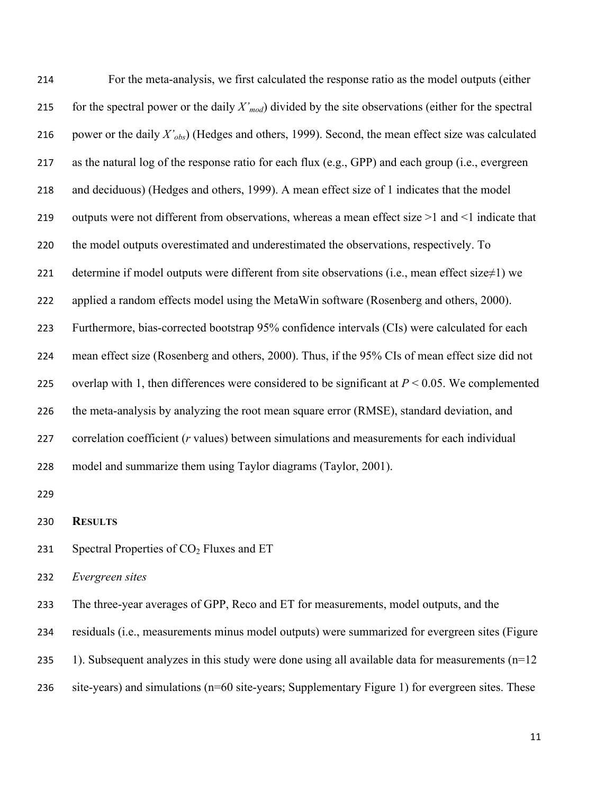| 214 | For the meta-analysis, we first calculated the response ratio as the model outputs (either                    |
|-----|---------------------------------------------------------------------------------------------------------------|
| 215 | for the spectral power or the daily $X'_{mod}$ divided by the site observations (either for the spectral      |
| 216 | power or the daily X' <sub>obs</sub> ) (Hedges and others, 1999). Second, the mean effect size was calculated |
| 217 | as the natural log of the response ratio for each flux (e.g., GPP) and each group (i.e., evergreen            |
| 218 | and deciduous) (Hedges and others, 1999). A mean effect size of 1 indicates that the model                    |
| 219 | outputs were not different from observations, whereas a mean effect size >1 and <1 indicate that              |
| 220 | the model outputs overestimated and underestimated the observations, respectively. To                         |
| 221 | determine if model outputs were different from site observations (i.e., mean effect size $\neq$ 1) we         |
| 222 | applied a random effects model using the MetaWin software (Rosenberg and others, 2000).                       |
| 223 | Furthermore, bias-corrected bootstrap 95% confidence intervals (CIs) were calculated for each                 |
| 224 | mean effect size (Rosenberg and others, 2000). Thus, if the 95% CIs of mean effect size did not               |
| 225 | overlap with 1, then differences were considered to be significant at $P < 0.05$ . We complemented            |
| 226 | the meta-analysis by analyzing the root mean square error (RMSE), standard deviation, and                     |
| 227 | correlation coefficient (r values) between simulations and measurements for each individual                   |
| 228 | model and summarize them using Taylor diagrams (Taylor, 2001).                                                |
| 229 |                                                                                                               |
| 230 | <b>RESULTS</b>                                                                                                |
| 231 | Spectral Properties of CO <sub>2</sub> Fluxes and ET                                                          |
| 232 | Evergreen sites                                                                                               |
| 233 | The three-year averages of GPP, Reco and ET for measurements, model outputs, and the                          |
| 234 | residuals (i.e., measurements minus model outputs) were summarized for evergreen sites (Figure                |
| 235 | 1). Subsequent analyzes in this study were done using all available data for measurements $(n=12)$            |
|     |                                                                                                               |

site-years) and simulations (n=60 site-years; Supplementary Figure 1) for evergreen sites. These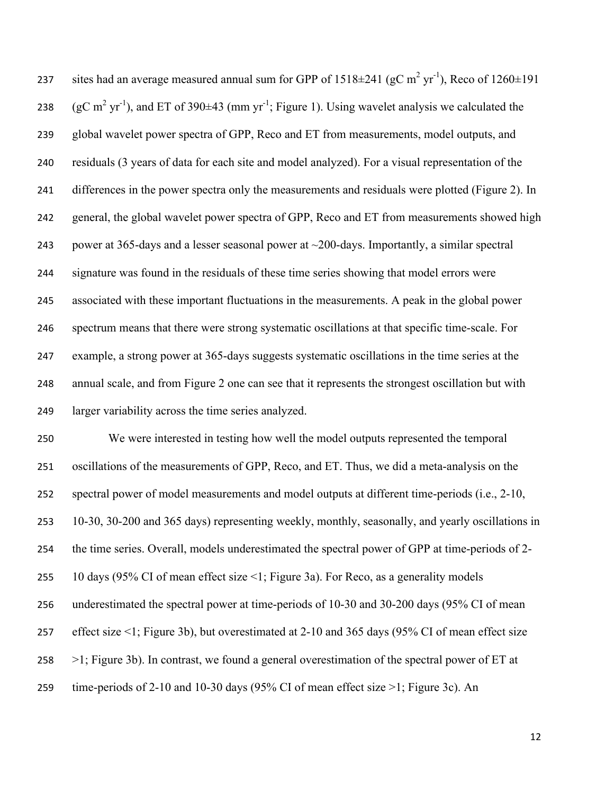237 is sites had an average measured annual sum for GPP of  $1518 \pm 241$  (gC m<sup>2</sup> yr<sup>-1</sup>), Reco of  $1260 \pm 191$ 238 (gC m<sup>2</sup> yr<sup>-1</sup>), and ET of 390 $\pm$ 43 (mm yr<sup>-1</sup>; Figure 1). Using wavelet analysis we calculated the global wavelet power spectra of GPP, Reco and ET from measurements, model outputs, and residuals (3 years of data for each site and model analyzed). For a visual representation of the differences in the power spectra only the measurements and residuals were plotted (Figure 2). In general, the global wavelet power spectra of GPP, Reco and ET from measurements showed high 243 power at 365-days and a lesser seasonal power at  $\sim$ 200-days. Importantly, a similar spectral signature was found in the residuals of these time series showing that model errors were associated with these important fluctuations in the measurements. A peak in the global power spectrum means that there were strong systematic oscillations at that specific time-scale. For example, a strong power at 365-days suggests systematic oscillations in the time series at the annual scale, and from Figure 2 one can see that it represents the strongest oscillation but with larger variability across the time series analyzed.

 We were interested in testing how well the model outputs represented the temporal oscillations of the measurements of GPP, Reco, and ET. Thus, we did a meta-analysis on the spectral power of model measurements and model outputs at different time-periods (i.e., 2-10, 10-30, 30-200 and 365 days) representing weekly, monthly, seasonally, and yearly oscillations in the time series. Overall, models underestimated the spectral power of GPP at time-periods of 2- 10 days (95% CI of mean effect size <1; Figure 3a). For Reco, as a generality models underestimated the spectral power at time-periods of 10-30 and 30-200 days (95% CI of mean effect size <1; Figure 3b), but overestimated at 2-10 and 365 days (95% CI of mean effect size  $\geq$ 1; Figure 3b). In contrast, we found a general overestimation of the spectral power of ET at time-periods of 2-10 and 10-30 days (95% CI of mean effect size >1; Figure 3c). An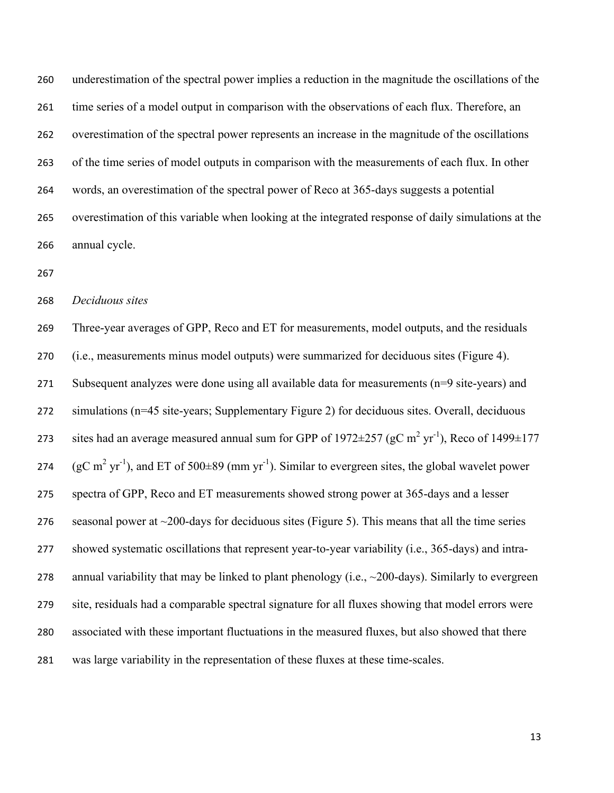underestimation of the spectral power implies a reduction in the magnitude the oscillations of the time series of a model output in comparison with the observations of each flux. Therefore, an overestimation of the spectral power represents an increase in the magnitude of the oscillations of the time series of model outputs in comparison with the measurements of each flux. In other words, an overestimation of the spectral power of Reco at 365-days suggests a potential overestimation of this variable when looking at the integrated response of daily simulations at the annual cycle.

*Deciduous sites*

 Three-year averages of GPP, Reco and ET for measurements, model outputs, and the residuals (i.e., measurements minus model outputs) were summarized for deciduous sites (Figure 4). Subsequent analyzes were done using all available data for measurements (n=9 site-years) and simulations (n=45 site-years; Supplementary Figure 2) for deciduous sites. Overall, deciduous 273 is sites had an average measured annual sum for GPP of 1972 $\pm$ 257 (gC m<sup>2</sup> yr<sup>-1</sup>), Reco of 1499 $\pm$ 177 274 (gC m<sup>2</sup> yr<sup>-1</sup>), and ET of 500 $\pm$ 89 (mm yr<sup>-1</sup>). Similar to evergreen sites, the global wavelet power spectra of GPP, Reco and ET measurements showed strong power at 365-days and a lesser 276 seasonal power at  $\sim$  200-days for deciduous sites (Figure 5). This means that all the time series showed systematic oscillations that represent year-to-year variability (i.e., 365-days) and intra-278 annual variability that may be linked to plant phenology (i.e.,  $\sim$ 200-days). Similarly to evergreen site, residuals had a comparable spectral signature for all fluxes showing that model errors were associated with these important fluctuations in the measured fluxes, but also showed that there was large variability in the representation of these fluxes at these time-scales.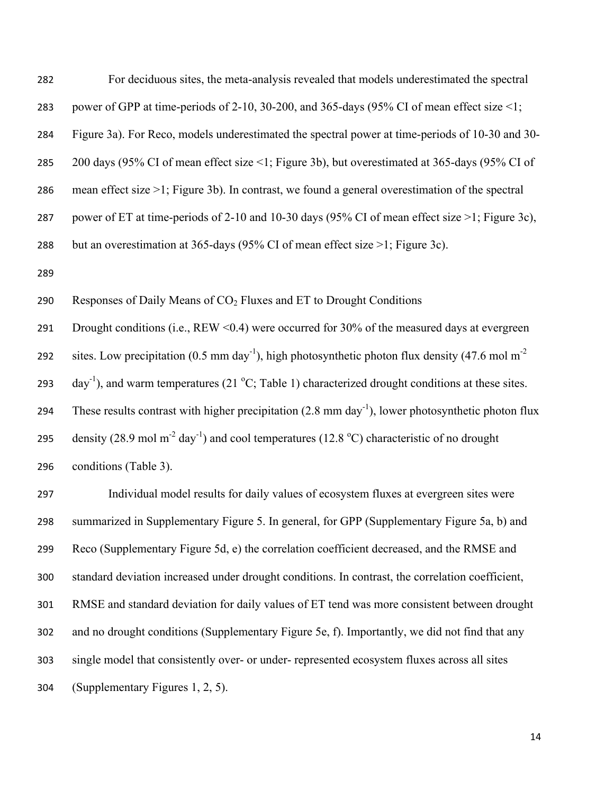| 282 | For deciduous sites, the meta-analysis revealed that models underestimated the spectral                                 |
|-----|-------------------------------------------------------------------------------------------------------------------------|
| 283 | power of GPP at time-periods of 2-10, 30-200, and 365-days (95% CI of mean effect size <1;                              |
| 284 | Figure 3a). For Reco, models underestimated the spectral power at time-periods of 10-30 and 30-                         |
| 285 | 200 days (95% CI of mean effect size <1; Figure 3b), but overestimated at 365-days (95% CI of                           |
| 286 | mean effect size $>1$ ; Figure 3b). In contrast, we found a general overestimation of the spectral                      |
| 287 | power of ET at time-periods of 2-10 and 10-30 days (95% CI of mean effect size >1; Figure 3c),                          |
| 288 | but an overestimation at 365-days (95% CI of mean effect size $>1$ ; Figure 3c).                                        |
| 289 |                                                                                                                         |
| 290 | Responses of Daily Means of CO <sub>2</sub> Fluxes and ET to Drought Conditions                                         |
| 291 | Drought conditions (i.e., REW <0.4) were occurred for 30% of the measured days at evergreen                             |
| 292 | sites. Low precipitation (0.5 mm day <sup>-1</sup> ), high photosynthetic photon flux density (47.6 mol m <sup>-2</sup> |
| 293 | day <sup>-1</sup> ), and warm temperatures (21 °C; Table 1) characterized drought conditions at these sites.            |
| 294 | These results contrast with higher precipitation $(2.8 \text{ mm day}^{-1})$ , lower photosynthetic photon flux         |
| 295 | density (28.9 mol m <sup>-2</sup> day <sup>-1</sup> ) and cool temperatures (12.8 °C) characteristic of no drought      |
| 296 | conditions (Table 3).                                                                                                   |
| 297 | Individual model results for daily values of ecosystem fluxes at evergreen sites were                                   |
| 298 | summarized in Supplementary Figure 5. In general, for GPP (Supplementary Figure 5a, b) and                              |
| 299 | Reco (Supplementary Figure 5d, e) the correlation coefficient decreased, and the RMSE and                               |
| 300 | standard deviation increased under drought conditions. In contrast, the correlation coefficient,                        |
| 301 | RMSE and standard deviation for daily values of ET tend was more consistent between drought                             |
| 302 | and no drought conditions (Supplementary Figure 5e, f). Importantly, we did not find that any                           |
| 303 | single model that consistently over- or under- represented ecosystem fluxes across all sites                            |
| 304 | (Supplementary Figures 1, 2, 5).                                                                                        |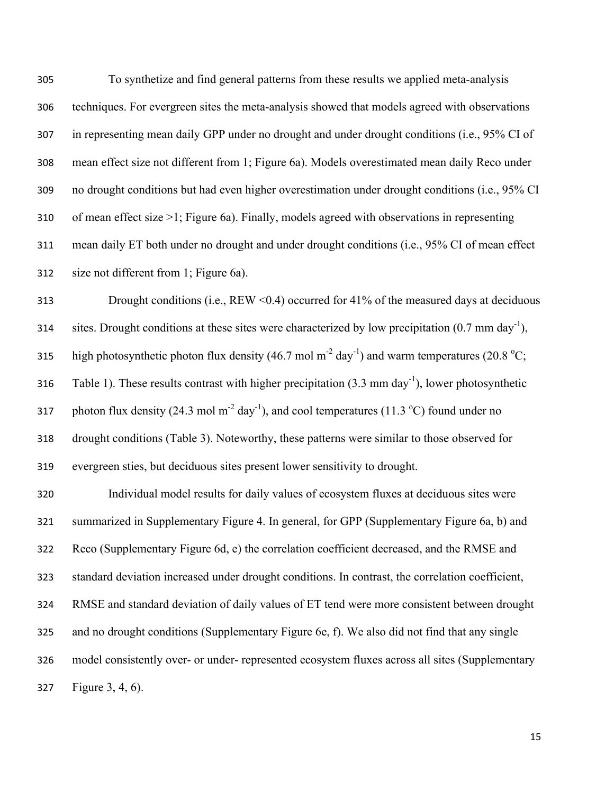To synthetize and find general patterns from these results we applied meta-analysis techniques. For evergreen sites the meta-analysis showed that models agreed with observations in representing mean daily GPP under no drought and under drought conditions (i.e., 95% CI of mean effect size not different from 1; Figure 6a). Models overestimated mean daily Reco under no drought conditions but had even higher overestimation under drought conditions (i.e., 95% CI of mean effect size >1; Figure 6a). Finally, models agreed with observations in representing mean daily ET both under no drought and under drought conditions (i.e., 95% CI of mean effect size not different from 1; Figure 6a).

 Drought conditions (i.e., REW <0.4) occurred for 41% of the measured days at deciduous sites. Drought conditions at these sites were characterized by low precipitation  $(0.7 \text{ mm day}^{-1})$ , 315 high photosynthetic photon flux density (46.7 mol m<sup>-2</sup> day<sup>-1</sup>) and warm temperatures (20.8 °C; 316 Table 1). These results contrast with higher precipitation  $(3.3 \text{ mm day}^{-1})$ , lower photosynthetic 317 photon flux density (24.3 mol m<sup>-2</sup> day<sup>-1</sup>), and cool temperatures (11.3 °C) found under no drought conditions (Table 3). Noteworthy, these patterns were similar to those observed for evergreen sties, but deciduous sites present lower sensitivity to drought.

 Individual model results for daily values of ecosystem fluxes at deciduous sites were summarized in Supplementary Figure 4. In general, for GPP (Supplementary Figure 6a, b) and Reco (Supplementary Figure 6d, e) the correlation coefficient decreased, and the RMSE and standard deviation increased under drought conditions. In contrast, the correlation coefficient, RMSE and standard deviation of daily values of ET tend were more consistent between drought and no drought conditions (Supplementary Figure 6e, f). We also did not find that any single model consistently over- or under- represented ecosystem fluxes across all sites (Supplementary Figure 3, 4, 6).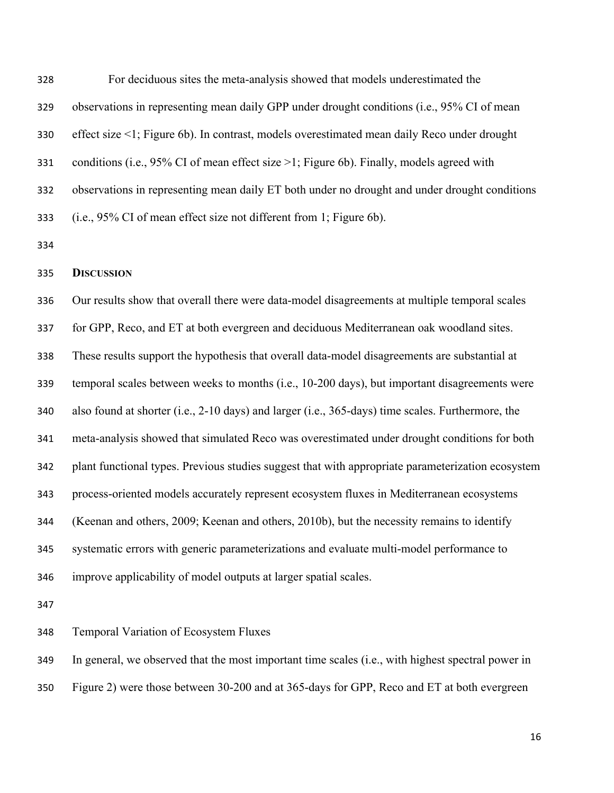For deciduous sites the meta-analysis showed that models underestimated the observations in representing mean daily GPP under drought conditions (i.e., 95% CI of mean effect size <1; Figure 6b). In contrast, models overestimated mean daily Reco under drought conditions (i.e., 95% CI of mean effect size >1; Figure 6b). Finally, models agreed with observations in representing mean daily ET both under no drought and under drought conditions (i.e., 95% CI of mean effect size not different from 1; Figure 6b).

### **DISCUSSION**

 Our results show that overall there were data-model disagreements at multiple temporal scales for GPP, Reco, and ET at both evergreen and deciduous Mediterranean oak woodland sites. These results support the hypothesis that overall data-model disagreements are substantial at temporal scales between weeks to months (i.e., 10-200 days), but important disagreements were also found at shorter (i.e., 2-10 days) and larger (i.e., 365-days) time scales. Furthermore, the meta-analysis showed that simulated Reco was overestimated under drought conditions for both plant functional types. Previous studies suggest that with appropriate parameterization ecosystem process-oriented models accurately represent ecosystem fluxes in Mediterranean ecosystems (Keenan and others, 2009; Keenan and others, 2010b), but the necessity remains to identify systematic errors with generic parameterizations and evaluate multi-model performance to improve applicability of model outputs at larger spatial scales.

Temporal Variation of Ecosystem Fluxes

In general, we observed that the most important time scales (i.e., with highest spectral power in

Figure 2) were those between 30-200 and at 365-days for GPP, Reco and ET at both evergreen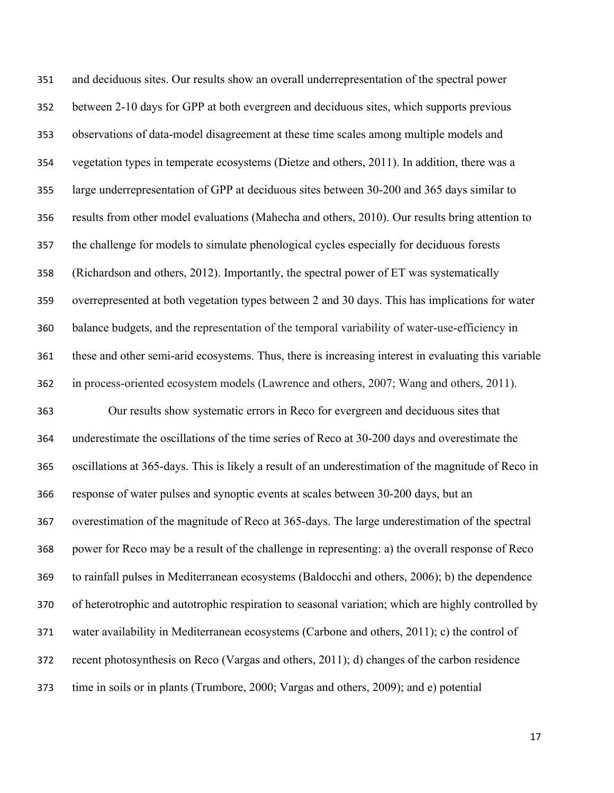and deciduous sites. Our results show an overall underrepresentation of the spectral power between 2-10 days for GPP at both evergreen and deciduous sites, which supports previous observations of data-model disagreement at these time scales among multiple models and vegetation types in temperate ecosystems (Dietze and others, 2011). In addition, there was a large underrepresentation of GPP at deciduous sites between 30-200 and 365 days similar to results from other model evaluations (Mahecha and others, 2010). Our results bring attention to the challenge for models to simulate phenological cycles especially for deciduous forests (Richardson and others, 2012). Importantly, the spectral power of ET was systematically overrepresented at both vegetation types between 2 and 30 days. This has implications for water balance budgets, and the representation of the temporal variability of water-use-efficiency in these and other semi-arid ecosystems. Thus, there is increasing interest in evaluating this variable in process-oriented ecosystem models (Lawrence and others, 2007; Wang and others, 2011). Our results show systematic errors in Reco for evergreen and deciduous sites that underestimate the oscillations of the time series of Reco at 30-200 days and overestimate the oscillations at 365-days. This is likely a result of an underestimation of the magnitude of Reco in response of water pulses and synoptic events at scales between 30-200 days, but an overestimation of the magnitude of Reco at 365-days. The large underestimation of the spectral power for Reco may be a result of the challenge in representing: a) the overall response of Reco to rainfall pulses in Mediterranean ecosystems (Baldocchi and others, 2006); b) the dependence of heterotrophic and autotrophic respiration to seasonal variation; which are highly controlled by water availability in Mediterranean ecosystems (Carbone and others, 2011); c) the control of recent photosynthesis on Reco (Vargas and others, 2011); d) changes of the carbon residence time in soils or in plants (Trumbore, 2000; Vargas and others, 2009); and e) potential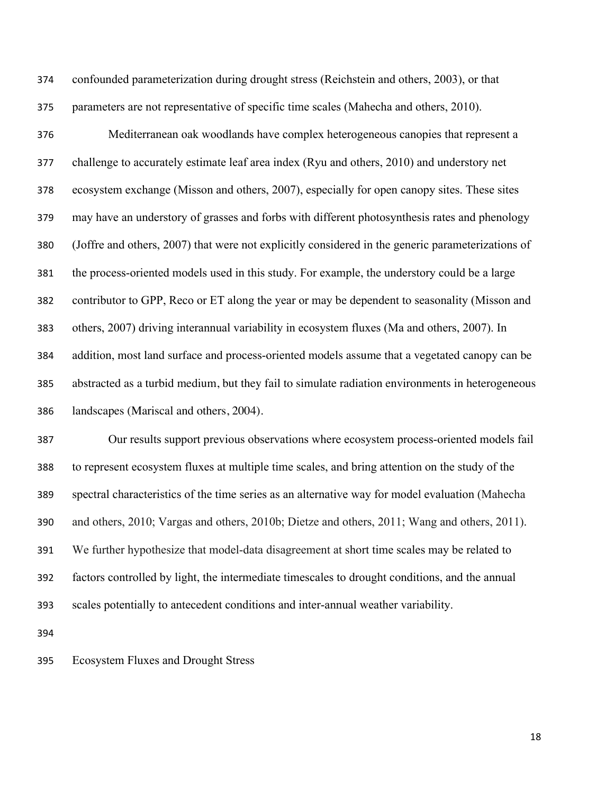confounded parameterization during drought stress (Reichstein and others, 2003), or that parameters are not representative of specific time scales (Mahecha and others, 2010).

 Mediterranean oak woodlands have complex heterogeneous canopies that represent a challenge to accurately estimate leaf area index (Ryu and others, 2010) and understory net ecosystem exchange (Misson and others, 2007), especially for open canopy sites. These sites may have an understory of grasses and forbs with different photosynthesis rates and phenology (Joffre and others, 2007) that were not explicitly considered in the generic parameterizations of the process-oriented models used in this study. For example, the understory could be a large contributor to GPP, Reco or ET along the year or may be dependent to seasonality (Misson and others, 2007) driving interannual variability in ecosystem fluxes (Ma and others, 2007). In addition, most land surface and process-oriented models assume that a vegetated canopy can be abstracted as a turbid medium, but they fail to simulate radiation environments in heterogeneous landscapes (Mariscal and others, 2004).

 Our results support previous observations where ecosystem process-oriented models fail to represent ecosystem fluxes at multiple time scales, and bring attention on the study of the spectral characteristics of the time series as an alternative way for model evaluation (Mahecha and others, 2010; Vargas and others, 2010b; Dietze and others, 2011; Wang and others, 2011). We further hypothesize that model-data disagreement at short time scales may be related to factors controlled by light, the intermediate timescales to drought conditions, and the annual scales potentially to antecedent conditions and inter-annual weather variability.

Ecosystem Fluxes and Drought Stress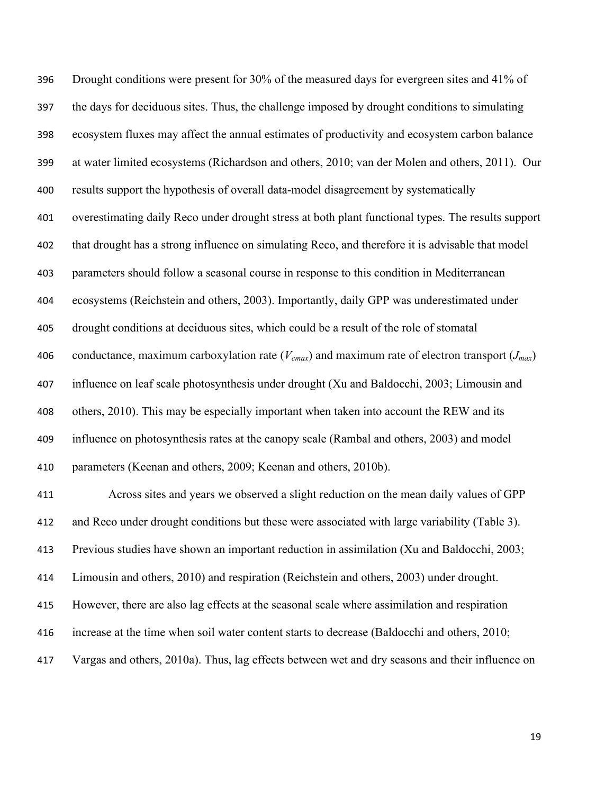Drought conditions were present for 30% of the measured days for evergreen sites and 41% of the days for deciduous sites. Thus, the challenge imposed by drought conditions to simulating ecosystem fluxes may affect the annual estimates of productivity and ecosystem carbon balance at water limited ecosystems (Richardson and others, 2010; van der Molen and others, 2011). Our results support the hypothesis of overall data-model disagreement by systematically overestimating daily Reco under drought stress at both plant functional types. The results support that drought has a strong influence on simulating Reco, and therefore it is advisable that model parameters should follow a seasonal course in response to this condition in Mediterranean ecosystems (Reichstein and others, 2003). Importantly, daily GPP was underestimated under drought conditions at deciduous sites, which could be a result of the role of stomatal conductance, maximum carboxylation rate (*Vcmax*) and maximum rate of electron transport (*Jmax*) influence on leaf scale photosynthesis under drought (Xu and Baldocchi, 2003; Limousin and others, 2010). This may be especially important when taken into account the REW and its influence on photosynthesis rates at the canopy scale (Rambal and others, 2003) and model parameters (Keenan and others, 2009; Keenan and others, 2010b). Across sites and years we observed a slight reduction on the mean daily values of GPP and Reco under drought conditions but these were associated with large variability (Table 3). Previous studies have shown an important reduction in assimilation (Xu and Baldocchi, 2003; Limousin and others, 2010) and respiration (Reichstein and others, 2003) under drought. However, there are also lag effects at the seasonal scale where assimilation and respiration increase at the time when soil water content starts to decrease (Baldocchi and others, 2010;

Vargas and others, 2010a). Thus, lag effects between wet and dry seasons and their influence on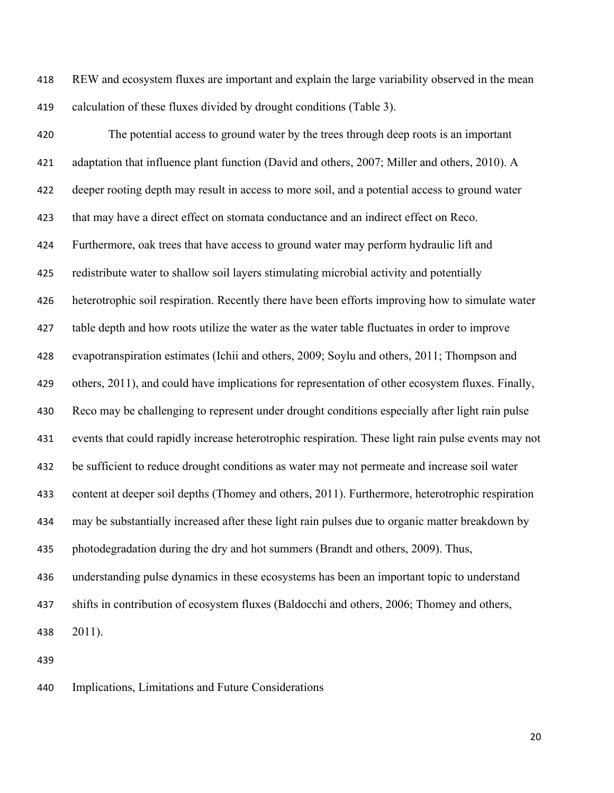REW and ecosystem fluxes are important and explain the large variability observed in the mean calculation of these fluxes divided by drought conditions (Table 3).

 The potential access to ground water by the trees through deep roots is an important adaptation that influence plant function (David and others, 2007; Miller and others, 2010). A deeper rooting depth may result in access to more soil, and a potential access to ground water that may have a direct effect on stomata conductance and an indirect effect on Reco. Furthermore, oak trees that have access to ground water may perform hydraulic lift and redistribute water to shallow soil layers stimulating microbial activity and potentially heterotrophic soil respiration. Recently there have been efforts improving how to simulate water table depth and how roots utilize the water as the water table fluctuates in order to improve evapotranspiration estimates (Ichii and others, 2009; Soylu and others, 2011; Thompson and others, 2011), and could have implications for representation of other ecosystem fluxes. Finally, Reco may be challenging to represent under drought conditions especially after light rain pulse events that could rapidly increase heterotrophic respiration. These light rain pulse events may not be sufficient to reduce drought conditions as water may not permeate and increase soil water content at deeper soil depths (Thomey and others, 2011). Furthermore, heterotrophic respiration may be substantially increased after these light rain pulses due to organic matter breakdown by photodegradation during the dry and hot summers (Brandt and others, 2009). Thus, understanding pulse dynamics in these ecosystems has been an important topic to understand shifts in contribution of ecosystem fluxes (Baldocchi and others, 2006; Thomey and others, 2011).

Implications, Limitations and Future Considerations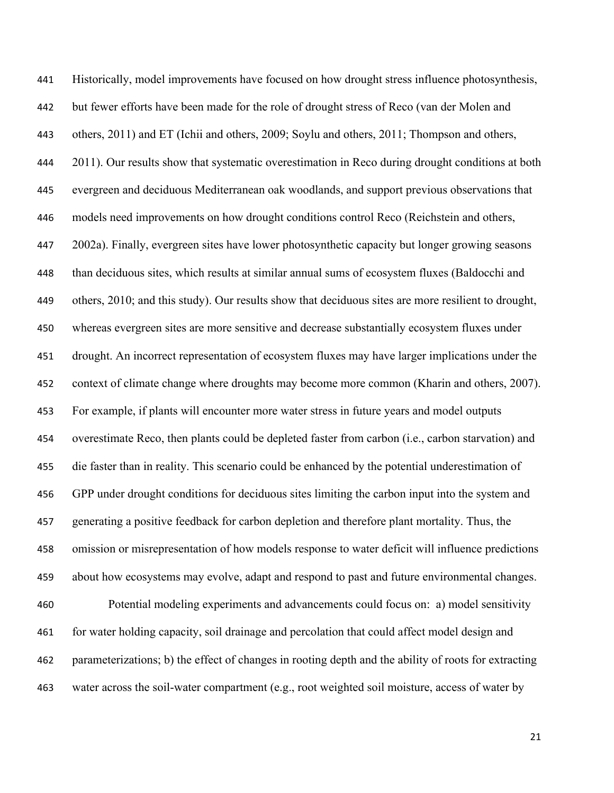Historically, model improvements have focused on how drought stress influence photosynthesis, but fewer efforts have been made for the role of drought stress of Reco (van der Molen and others, 2011) and ET (Ichii and others, 2009; Soylu and others, 2011; Thompson and others, 444 2011). Our results show that systematic overestimation in Reco during drought conditions at both evergreen and deciduous Mediterranean oak woodlands, and support previous observations that models need improvements on how drought conditions control Reco (Reichstein and others, 2002a). Finally, evergreen sites have lower photosynthetic capacity but longer growing seasons than deciduous sites, which results at similar annual sums of ecosystem fluxes (Baldocchi and others, 2010; and this study). Our results show that deciduous sites are more resilient to drought, whereas evergreen sites are more sensitive and decrease substantially ecosystem fluxes under drought. An incorrect representation of ecosystem fluxes may have larger implications under the context of climate change where droughts may become more common (Kharin and others, 2007). For example, if plants will encounter more water stress in future years and model outputs overestimate Reco, then plants could be depleted faster from carbon (i.e., carbon starvation) and die faster than in reality. This scenario could be enhanced by the potential underestimation of GPP under drought conditions for deciduous sites limiting the carbon input into the system and generating a positive feedback for carbon depletion and therefore plant mortality. Thus, the omission or misrepresentation of how models response to water deficit will influence predictions about how ecosystems may evolve, adapt and respond to past and future environmental changes. Potential modeling experiments and advancements could focus on: a) model sensitivity for water holding capacity, soil drainage and percolation that could affect model design and parameterizations; b) the effect of changes in rooting depth and the ability of roots for extracting water across the soil-water compartment (e.g., root weighted soil moisture, access of water by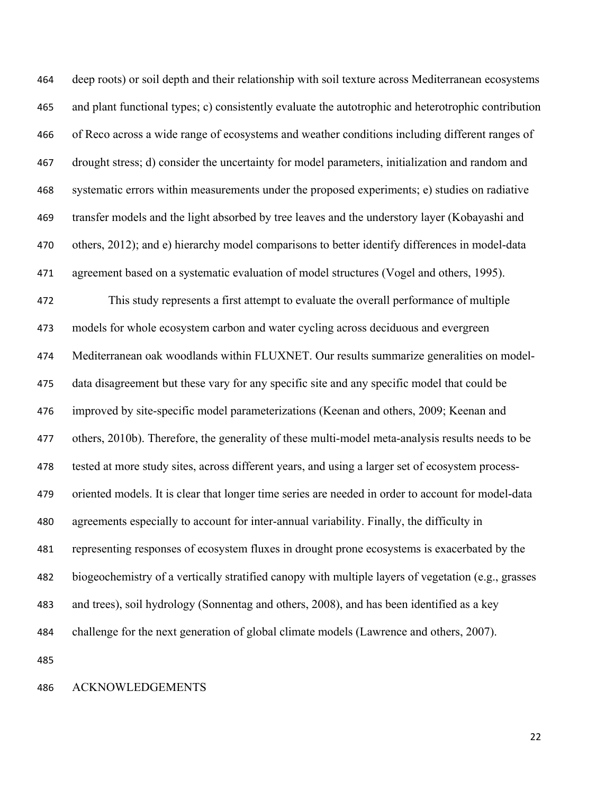deep roots) or soil depth and their relationship with soil texture across Mediterranean ecosystems and plant functional types; c) consistently evaluate the autotrophic and heterotrophic contribution of Reco across a wide range of ecosystems and weather conditions including different ranges of drought stress; d) consider the uncertainty for model parameters, initialization and random and systematic errors within measurements under the proposed experiments; e) studies on radiative transfer models and the light absorbed by tree leaves and the understory layer (Kobayashi and others, 2012); and e) hierarchy model comparisons to better identify differences in model-data agreement based on a systematic evaluation of model structures (Vogel and others, 1995). This study represents a first attempt to evaluate the overall performance of multiple models for whole ecosystem carbon and water cycling across deciduous and evergreen Mediterranean oak woodlands within FLUXNET. Our results summarize generalities on model- data disagreement but these vary for any specific site and any specific model that could be improved by site-specific model parameterizations (Keenan and others, 2009; Keenan and others, 2010b). Therefore, the generality of these multi-model meta-analysis results needs to be tested at more study sites, across different years, and using a larger set of ecosystem process- oriented models. It is clear that longer time series are needed in order to account for model-data agreements especially to account for inter-annual variability. Finally, the difficulty in representing responses of ecosystem fluxes in drought prone ecosystems is exacerbated by the biogeochemistry of a vertically stratified canopy with multiple layers of vegetation (e.g., grasses and trees), soil hydrology (Sonnentag and others, 2008), and has been identified as a key challenge for the next generation of global climate models (Lawrence and others, 2007). 

### ACKNOWLEDGEMENTS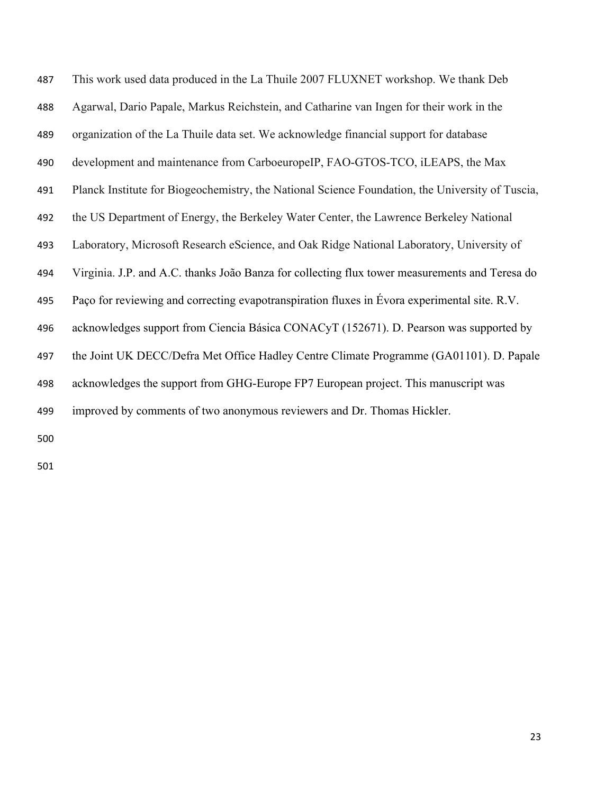| 487 | This work used data produced in the La Thuile 2007 FLUXNET workshop. We thank Deb                |
|-----|--------------------------------------------------------------------------------------------------|
| 488 | Agarwal, Dario Papale, Markus Reichstein, and Catharine van Ingen for their work in the          |
| 489 | organization of the La Thuile data set. We acknowledge financial support for database            |
| 490 | development and maintenance from CarboeuropeIP, FAO-GTOS-TCO, iLEAPS, the Max                    |
| 491 | Planck Institute for Biogeochemistry, the National Science Foundation, the University of Tuscia, |
| 492 | the US Department of Energy, the Berkeley Water Center, the Lawrence Berkeley National           |
| 493 | Laboratory, Microsoft Research eScience, and Oak Ridge National Laboratory, University of        |
| 494 | Virginia. J.P. and A.C. thanks João Banza for collecting flux tower measurements and Teresa do   |
| 495 | Paço for reviewing and correcting evapotranspiration fluxes in Évora experimental site. R.V.     |
| 496 | acknowledges support from Ciencia Básica CONACyT (152671). D. Pearson was supported by           |
| 497 | the Joint UK DECC/Defra Met Office Hadley Centre Climate Programme (GA01101). D. Papale          |
| 498 | acknowledges the support from GHG-Europe FP7 European project. This manuscript was               |
| 499 | improved by comments of two anonymous reviewers and Dr. Thomas Hickler.                          |
| 500 |                                                                                                  |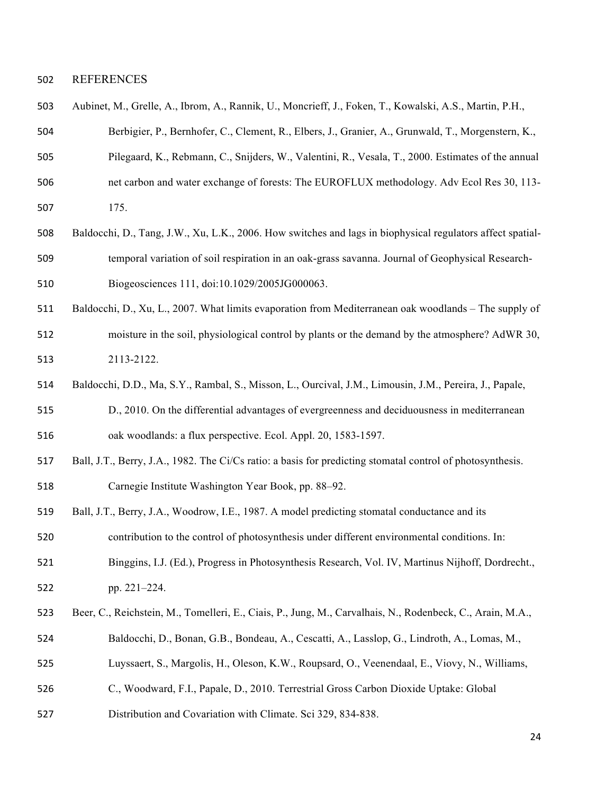#### REFERENCES

| 503 | Aubinet, M., Grelle, A., Ibrom, A., Rannik, U., Moncrieff, J., Foken, T., Kowalski, A.S., Martin, P.H., |  |  |  |  |  |  |  |  |  |  |
|-----|---------------------------------------------------------------------------------------------------------|--|--|--|--|--|--|--|--|--|--|
|-----|---------------------------------------------------------------------------------------------------------|--|--|--|--|--|--|--|--|--|--|

- Berbigier, P., Bernhofer, C., Clement, R., Elbers, J., Granier, A., Grunwald, T., Morgenstern, K.,
- Pilegaard, K., Rebmann, C., Snijders, W., Valentini, R., Vesala, T., 2000. Estimates of the annual
- net carbon and water exchange of forests: The EUROFLUX methodology. Adv Ecol Res 30, 113-
- 175.
- Baldocchi, D., Tang, J.W., Xu, L.K., 2006. How switches and lags in biophysical regulators affect spatial- temporal variation of soil respiration in an oak-grass savanna. Journal of Geophysical Research-Biogeosciences 111, doi:10.1029/2005JG000063.
- Baldocchi, D., Xu, L., 2007. What limits evaporation from Mediterranean oak woodlands The supply of
- moisture in the soil, physiological control by plants or the demand by the atmosphere? AdWR 30, 2113-2122.
- Baldocchi, D.D., Ma, S.Y., Rambal, S., Misson, L., Ourcival, J.M., Limousin, J.M., Pereira, J., Papale,
- D., 2010. On the differential advantages of evergreenness and deciduousness in mediterranean oak woodlands: a flux perspective. Ecol. Appl. 20, 1583-1597.
- Ball, J.T., Berry, J.A., 1982. The Ci/Cs ratio: a basis for predicting stomatal control of photosynthesis. Carnegie Institute Washington Year Book, pp. 88–92.
- Ball, J.T., Berry, J.A., Woodrow, I.E., 1987. A model predicting stomatal conductance and its

contribution to the control of photosynthesis under different environmental conditions. In:

- Binggins, I.J. (Ed.), Progress in Photosynthesis Research, Vol. IV, Martinus Nijhoff, Dordrecht., pp. 221–224.
- Beer, C., Reichstein, M., Tomelleri, E., Ciais, P., Jung, M., Carvalhais, N., Rodenbeck, C., Arain, M.A.,
- Baldocchi, D., Bonan, G.B., Bondeau, A., Cescatti, A., Lasslop, G., Lindroth, A., Lomas, M.,
- Luyssaert, S., Margolis, H., Oleson, K.W., Roupsard, O., Veenendaal, E., Viovy, N., Williams,
- C., Woodward, F.I., Papale, D., 2010. Terrestrial Gross Carbon Dioxide Uptake: Global
- Distribution and Covariation with Climate. Sci 329, 834-838.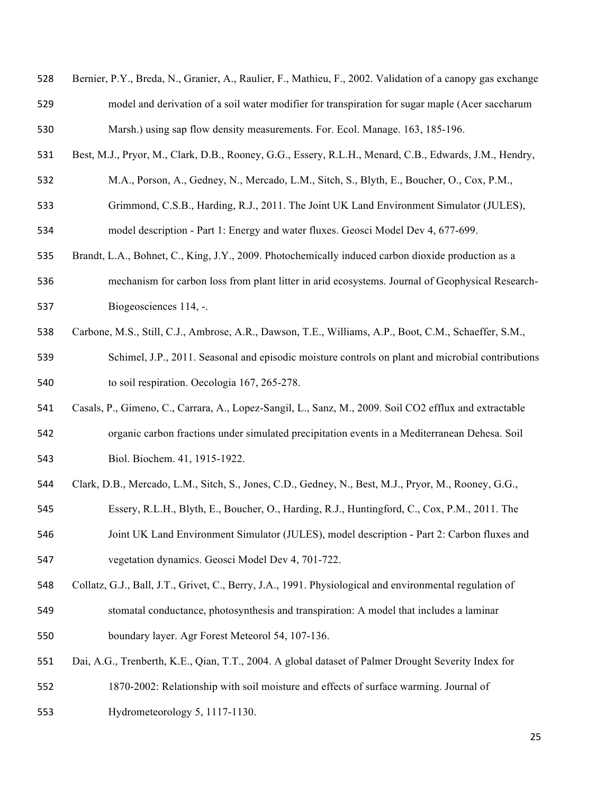| 528 | Bernier, P.Y., Breda, N., Granier, A., Raulier, F., Mathieu, F., 2002. Validation of a canopy gas exchange |
|-----|------------------------------------------------------------------------------------------------------------|
| 529 | model and derivation of a soil water modifier for transpiration for sugar maple (Acer saccharum            |
| 530 | Marsh.) using sap flow density measurements. For. Ecol. Manage. 163, 185-196.                              |
| 531 | Best, M.J., Pryor, M., Clark, D.B., Rooney, G.G., Essery, R.L.H., Menard, C.B., Edwards, J.M., Hendry,     |
| 532 | M.A., Porson, A., Gedney, N., Mercado, L.M., Sitch, S., Blyth, E., Boucher, O., Cox, P.M.,                 |
| 533 | Grimmond, C.S.B., Harding, R.J., 2011. The Joint UK Land Environment Simulator (JULES),                    |
| 534 | model description - Part 1: Energy and water fluxes. Geosci Model Dev 4, 677-699.                          |
| 535 | Brandt, L.A., Bohnet, C., King, J.Y., 2009. Photochemically induced carbon dioxide production as a         |
| 536 | mechanism for carbon loss from plant litter in arid ecosystems. Journal of Geophysical Research-           |
| 537 | Biogeosciences 114, -.                                                                                     |
| 538 | Carbone, M.S., Still, C.J., Ambrose, A.R., Dawson, T.E., Williams, A.P., Boot, C.M., Schaeffer, S.M.,      |
| 539 | Schimel, J.P., 2011. Seasonal and episodic moisture controls on plant and microbial contributions          |
| 540 | to soil respiration. Oecologia 167, 265-278.                                                               |
| 541 | Casals, P., Gimeno, C., Carrara, A., Lopez-Sangil, L., Sanz, M., 2009. Soil CO2 efflux and extractable     |
| 542 | organic carbon fractions under simulated precipitation events in a Mediterranean Dehesa. Soil              |
| 543 | Biol. Biochem. 41, 1915-1922.                                                                              |
| 544 | Clark, D.B., Mercado, L.M., Sitch, S., Jones, C.D., Gedney, N., Best, M.J., Pryor, M., Rooney, G.G.,       |
| 545 | Essery, R.L.H., Blyth, E., Boucher, O., Harding, R.J., Huntingford, C., Cox, P.M., 2011. The               |
| 546 | Joint UK Land Environment Simulator (JULES), model description - Part 2: Carbon fluxes and                 |
| 547 | vegetation dynamics. Geosci Model Dev 4, 701-722.                                                          |
| 548 | Collatz, G.J., Ball, J.T., Grivet, C., Berry, J.A., 1991. Physiological and environmental regulation of    |
| 549 | stomatal conductance, photosynthesis and transpiration: A model that includes a laminar                    |
| 550 | boundary layer. Agr Forest Meteorol 54, 107-136.                                                           |
| 551 | Dai, A.G., Trenberth, K.E., Qian, T.T., 2004. A global dataset of Palmer Drought Severity Index for        |
| 552 | 1870-2002: Relationship with soil moisture and effects of surface warming. Journal of                      |
| 553 | Hydrometeorology 5, 1117-1130.                                                                             |
|     |                                                                                                            |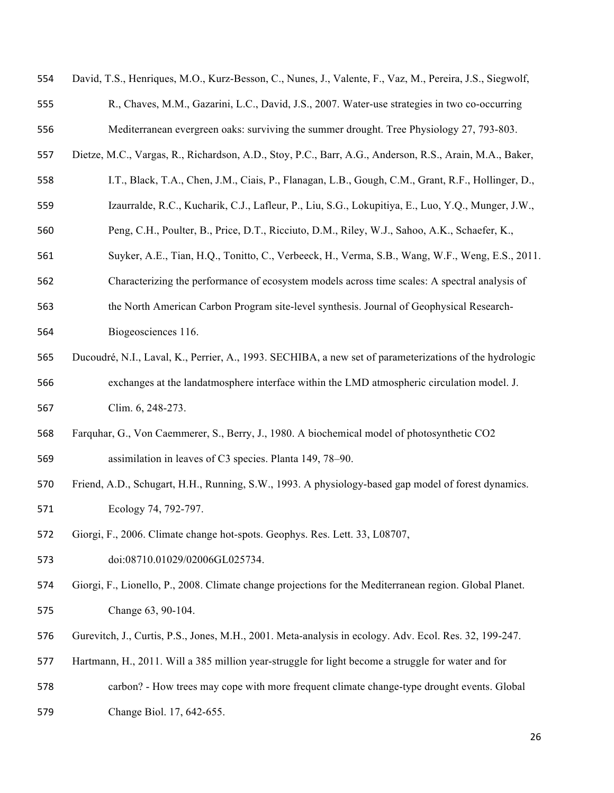| 554 | David, T.S., Henriques, M.O., Kurz-Besson, C., Nunes, J., Valente, F., Vaz, M., Pereira, J.S., Siegwolf, |
|-----|----------------------------------------------------------------------------------------------------------|
| 555 | R., Chaves, M.M., Gazarini, L.C., David, J.S., 2007. Water-use strategies in two co-occurring            |
| 556 | Mediterranean evergreen oaks: surviving the summer drought. Tree Physiology 27, 793-803.                 |
| 557 | Dietze, M.C., Vargas, R., Richardson, A.D., Stoy, P.C., Barr, A.G., Anderson, R.S., Arain, M.A., Baker,  |
| 558 | I.T., Black, T.A., Chen, J.M., Ciais, P., Flanagan, L.B., Gough, C.M., Grant, R.F., Hollinger, D.,       |
| 559 | Izaurralde, R.C., Kucharik, C.J., Lafleur, P., Liu, S.G., Lokupitiya, E., Luo, Y.Q., Munger, J.W.,       |
| 560 | Peng, C.H., Poulter, B., Price, D.T., Ricciuto, D.M., Riley, W.J., Sahoo, A.K., Schaefer, K.,            |
| 561 | Suyker, A.E., Tian, H.Q., Tonitto, C., Verbeeck, H., Verma, S.B., Wang, W.F., Weng, E.S., 2011.          |
| 562 | Characterizing the performance of ecosystem models across time scales: A spectral analysis of            |
| 563 | the North American Carbon Program site-level synthesis. Journal of Geophysical Research-                 |
| 564 | Biogeosciences 116.                                                                                      |
| 565 | Ducoudré, N.I., Laval, K., Perrier, A., 1993. SECHIBA, a new set of parameterizations of the hydrologic  |
| 566 | exchanges at the landatmosphere interface within the LMD atmospheric circulation model. J.               |
| 567 | Clim. 6, 248-273.                                                                                        |
| 568 | Farquhar, G., Von Caemmerer, S., Berry, J., 1980. A biochemical model of photosynthetic CO2              |
| 569 | assimilation in leaves of C3 species. Planta 149, 78–90.                                                 |
| 570 | Friend, A.D., Schugart, H.H., Running, S.W., 1993. A physiology-based gap model of forest dynamics.      |
| 571 | Ecology 74, 792-797.                                                                                     |
| 572 | Giorgi, F., 2006. Climate change hot-spots. Geophys. Res. Lett. 33, L08707,                              |
| 573 | doi:08710.01029/02006GL025734.                                                                           |
| 574 | Giorgi, F., Lionello, P., 2008. Climate change projections for the Mediterranean region. Global Planet.  |
| 575 | Change 63, 90-104.                                                                                       |
| 576 | Gurevitch, J., Curtis, P.S., Jones, M.H., 2001. Meta-analysis in ecology. Adv. Ecol. Res. 32, 199-247.   |
| 577 | Hartmann, H., 2011. Will a 385 million year-struggle for light become a struggle for water and for       |
| 578 | carbon? - How trees may cope with more frequent climate change-type drought events. Global               |
| 579 | Change Biol. 17, 642-655.                                                                                |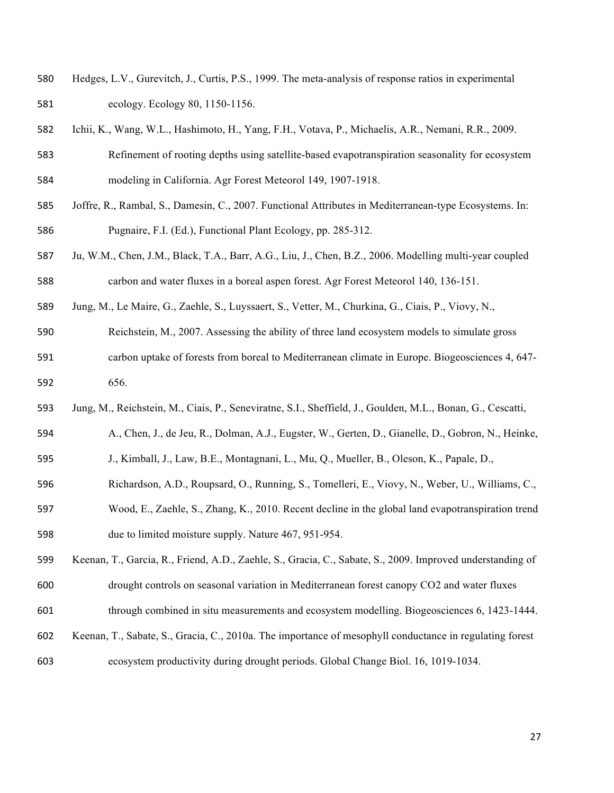- Hedges, L.V., Gurevitch, J., Curtis, P.S., 1999. The meta-analysis of response ratios in experimental ecology. Ecology 80, 1150-1156.
- Ichii, K., Wang, W.L., Hashimoto, H., Yang, F.H., Votava, P., Michaelis, A.R., Nemani, R.R., 2009.
- Refinement of rooting depths using satellite-based evapotranspiration seasonality for ecosystem modeling in California. Agr Forest Meteorol 149, 1907-1918.
- Joffre, R., Rambal, S., Damesin, C., 2007. Functional Attributes in Mediterranean-type Ecosystems. In: Pugnaire, F.I. (Ed.), Functional Plant Ecology, pp. 285-312.
- Ju, W.M., Chen, J.M., Black, T.A., Barr, A.G., Liu, J., Chen, B.Z., 2006. Modelling multi-year coupled carbon and water fluxes in a boreal aspen forest. Agr Forest Meteorol 140, 136-151.
- Jung, M., Le Maire, G., Zaehle, S., Luyssaert, S., Vetter, M., Churkina, G., Ciais, P., Viovy, N.,
- Reichstein, M., 2007. Assessing the ability of three land ecosystem models to simulate gross
- carbon uptake of forests from boreal to Mediterranean climate in Europe. Biogeosciences 4, 647- 656.
- Jung, M., Reichstein, M., Ciais, P., Seneviratne, S.I., Sheffield, J., Goulden, M.L., Bonan, G., Cescatti,
- A., Chen, J., de Jeu, R., Dolman, A.J., Eugster, W., Gerten, D., Gianelle, D., Gobron, N., Heinke,
- J., Kimball, J., Law, B.E., Montagnani, L., Mu, Q., Mueller, B., Oleson, K., Papale, D.,
- Richardson, A.D., Roupsard, O., Running, S., Tomelleri, E., Viovy, N., Weber, U., Williams, C.,
- Wood, E., Zaehle, S., Zhang, K., 2010. Recent decline in the global land evapotranspiration trend due to limited moisture supply. Nature 467, 951-954.
- Keenan, T., Garcia, R., Friend, A.D., Zaehle, S., Gracia, C., Sabate, S., 2009. Improved understanding of drought controls on seasonal variation in Mediterranean forest canopy CO2 and water fluxes
- through combined in situ measurements and ecosystem modelling. Biogeosciences 6, 1423-1444.
- Keenan, T., Sabate, S., Gracia, C., 2010a. The importance of mesophyll conductance in regulating forest ecosystem productivity during drought periods. Global Change Biol. 16, 1019-1034.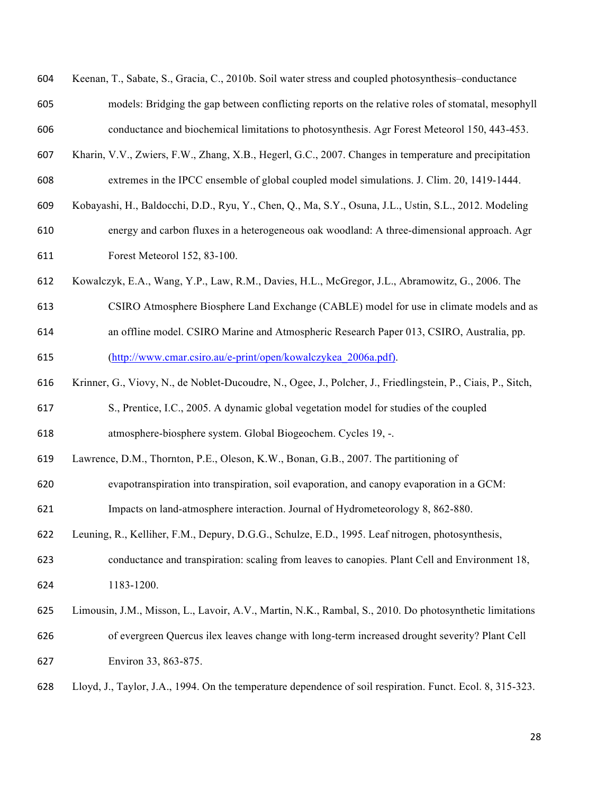| 604 | Keenan, T., Sabate, S., Gracia, C., 2010b. Soil water stress and coupled photosynthesis–conductance          |
|-----|--------------------------------------------------------------------------------------------------------------|
| 605 | models: Bridging the gap between conflicting reports on the relative roles of stomatal, mesophyll            |
| 606 | conductance and biochemical limitations to photosynthesis. Agr Forest Meteorol 150, 443-453.                 |
| 607 | Kharin, V.V., Zwiers, F.W., Zhang, X.B., Hegerl, G.C., 2007. Changes in temperature and precipitation        |
| 608 | extremes in the IPCC ensemble of global coupled model simulations. J. Clim. 20, 1419-1444.                   |
| 609 | Kobayashi, H., Baldocchi, D.D., Ryu, Y., Chen, Q., Ma, S.Y., Osuna, J.L., Ustin, S.L., 2012. Modeling        |
| 610 | energy and carbon fluxes in a heterogeneous oak woodland: A three-dimensional approach. Agr                  |
| 611 | Forest Meteorol 152, 83-100.                                                                                 |
| 612 | Kowalczyk, E.A., Wang, Y.P., Law, R.M., Davies, H.L., McGregor, J.L., Abramowitz, G., 2006. The              |
| 613 | CSIRO Atmosphere Biosphere Land Exchange (CABLE) model for use in climate models and as                      |
| 614 | an offline model. CSIRO Marine and Atmospheric Research Paper 013, CSIRO, Australia, pp.                     |
| 615 | (http://www.cmar.csiro.au/e-print/open/kowalczykea 2006a.pdf).                                               |
| 616 | Krinner, G., Viovy, N., de Noblet-Ducoudre, N., Ogee, J., Polcher, J., Friedlingstein, P., Ciais, P., Sitch, |
| 617 | S., Prentice, I.C., 2005. A dynamic global vegetation model for studies of the coupled                       |
| 618 | atmosphere-biosphere system. Global Biogeochem. Cycles 19, -.                                                |
| 619 | Lawrence, D.M., Thornton, P.E., Oleson, K.W., Bonan, G.B., 2007. The partitioning of                         |
| 620 | evapotranspiration into transpiration, soil evaporation, and canopy evaporation in a GCM:                    |
| 621 | Impacts on land-atmosphere interaction. Journal of Hydrometeorology 8, 862-880.                              |
| 622 | Leuning, R., Kelliher, F.M., Depury, D.G.G., Schulze, E.D., 1995. Leaf nitrogen, photosynthesis,             |
| 623 | conductance and transpiration: scaling from leaves to canopies. Plant Cell and Environment 18,               |
| 624 | 1183-1200.                                                                                                   |
| 625 | Limousin, J.M., Misson, L., Lavoir, A.V., Martin, N.K., Rambal, S., 2010. Do photosynthetic limitations      |
| 626 | of evergreen Quercus ilex leaves change with long-term increased drought severity? Plant Cell                |
| 627 | Environ 33, 863-875.                                                                                         |
| 628 | Lloyd, J., Taylor, J.A., 1994. On the temperature dependence of soil respiration. Funct. Ecol. 8, 315-323.   |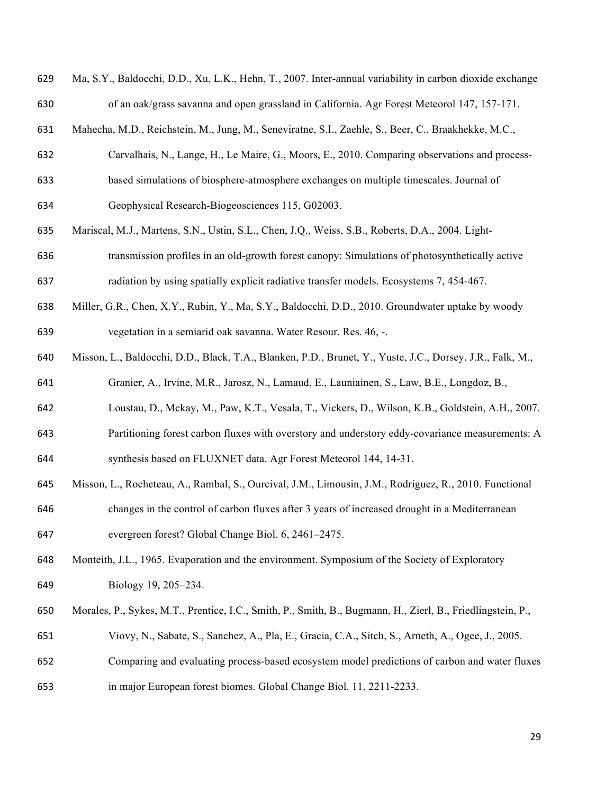| 629 | Ma, S.Y., Baldocchi, D.D., Xu, L.K., Hehn, T., 2007. Inter-annual variability in carbon dioxide exchange    |
|-----|-------------------------------------------------------------------------------------------------------------|
| 630 | of an oak/grass savanna and open grassland in California. Agr Forest Meteorol 147, 157-171.                 |
| 631 | Mahecha, M.D., Reichstein, M., Jung, M., Seneviratne, S.I., Zaehle, S., Beer, C., Braakhekke, M.C.,         |
| 632 | Carvalhais, N., Lange, H., Le Maire, G., Moors, E., 2010. Comparing observations and process-               |
| 633 | based simulations of biosphere-atmosphere exchanges on multiple timescales. Journal of                      |
| 634 | Geophysical Research-Biogeosciences 115, G02003.                                                            |
| 635 | Mariscal, M.J., Martens, S.N., Ustin, S.L., Chen, J.Q., Weiss, S.B., Roberts, D.A., 2004. Light-            |
| 636 | transmission profiles in an old-growth forest canopy: Simulations of photosynthetically active              |
| 637 | radiation by using spatially explicit radiative transfer models. Ecosystems 7, 454-467.                     |
| 638 | Miller, G.R., Chen, X.Y., Rubin, Y., Ma, S.Y., Baldocchi, D.D., 2010. Groundwater uptake by woody           |
| 639 | vegetation in a semiarid oak savanna. Water Resour. Res. 46, -.                                             |
| 640 | Misson, L., Baldocchi, D.D., Black, T.A., Blanken, P.D., Brunet, Y., Yuste, J.C., Dorsey, J.R., Falk, M.,   |
| 641 | Granier, A., Irvine, M.R., Jarosz, N., Lamaud, E., Launiainen, S., Law, B.E., Longdoz, B.,                  |
| 642 | Loustau, D., Mckay, M., Paw, K.T., Vesala, T., Vickers, D., Wilson, K.B., Goldstein, A.H., 2007.            |
| 643 | Partitioning forest carbon fluxes with overstory and understory eddy-covariance measurements: A             |
| 644 | synthesis based on FLUXNET data. Agr Forest Meteorol 144, 14-31.                                            |
| 645 | Misson, L., Rocheteau, A., Rambal, S., Ourcival, J.M., Limousin, J.M., Rodriguez, R., 2010. Functional      |
| 646 | changes in the control of carbon fluxes after 3 years of increased drought in a Mediterranean               |
| 647 | evergreen forest? Global Change Biol. 6, 2461-2475.                                                         |
| 648 | Monteith, J.L., 1965. Evaporation and the environment. Symposium of the Society of Exploratory              |
| 649 | Biology 19, 205-234.                                                                                        |
| 650 | Morales, P., Sykes, M.T., Prentice, I.C., Smith, P., Smith, B., Bugmann, H., Zierl, B., Friedlingstein, P., |
| 651 | Viovy, N., Sabate, S., Sanchez, A., Pla, E., Gracia, C.A., Sitch, S., Arneth, A., Ogee, J., 2005.           |
| 652 | Comparing and evaluating process-based ecosystem model predictions of carbon and water fluxes               |
| 653 | in major European forest biomes. Global Change Biol. 11, 2211-2233.                                         |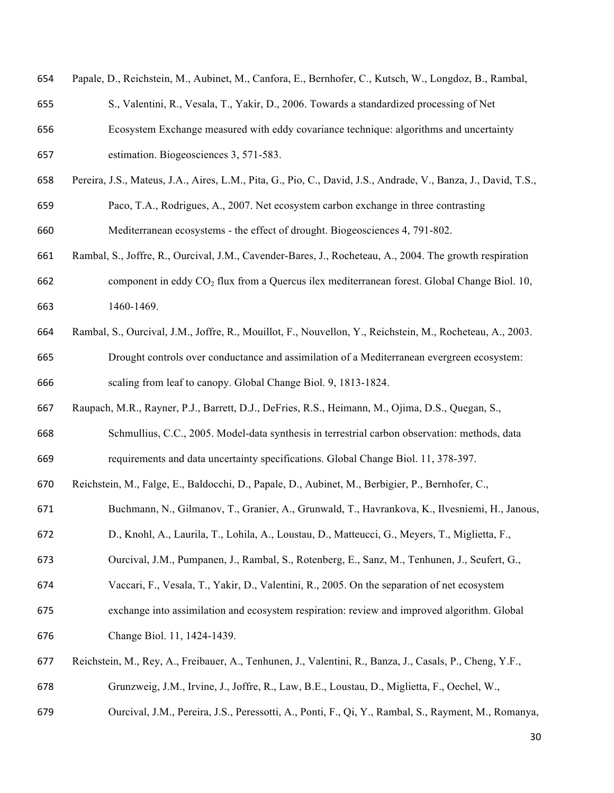| 654 | Papale, D., Reichstein, M., Aubinet, M., Canfora, E., Bernhofer, C., Kutsch, W., Longdoz, B., Rambal,          |
|-----|----------------------------------------------------------------------------------------------------------------|
| 655 | S., Valentini, R., Vesala, T., Yakir, D., 2006. Towards a standardized processing of Net                       |
| 656 | Ecosystem Exchange measured with eddy covariance technique: algorithms and uncertainty                         |
| 657 | estimation. Biogeosciences 3, 571-583.                                                                         |
| 658 | Pereira, J.S., Mateus, J.A., Aires, L.M., Pita, G., Pio, C., David, J.S., Andrade, V., Banza, J., David, T.S., |
| 659 | Paco, T.A., Rodrigues, A., 2007. Net ecosystem carbon exchange in three contrasting                            |
| 660 | Mediterranean ecosystems - the effect of drought. Biogeosciences 4, 791-802.                                   |
| 661 | Rambal, S., Joffre, R., Ourcival, J.M., Cavender-Bares, J., Rocheteau, A., 2004. The growth respiration        |
| 662 | component in eddy $CO2$ flux from a Quercus ilex mediterranean forest. Global Change Biol. 10,                 |
| 663 | 1460-1469.                                                                                                     |
| 664 | Rambal, S., Ourcival, J.M., Joffre, R., Mouillot, F., Nouvellon, Y., Reichstein, M., Rocheteau, A., 2003.      |
| 665 | Drought controls over conductance and assimilation of a Mediterranean evergreen ecosystem:                     |
| 666 | scaling from leaf to canopy. Global Change Biol. 9, 1813-1824.                                                 |
| 667 | Raupach, M.R., Rayner, P.J., Barrett, D.J., DeFries, R.S., Heimann, M., Ojima, D.S., Quegan, S.,               |
| 668 | Schmullius, C.C., 2005. Model-data synthesis in terrestrial carbon observation: methods, data                  |
| 669 | requirements and data uncertainty specifications. Global Change Biol. 11, 378-397.                             |
| 670 | Reichstein, M., Falge, E., Baldocchi, D., Papale, D., Aubinet, M., Berbigier, P., Bernhofer, C.,               |
| 671 | Buchmann, N., Gilmanov, T., Granier, A., Grunwald, T., Havrankova, K., Ilvesniemi, H., Janous,                 |
| 672 | D., Knohl, A., Laurila, T., Lohila, A., Loustau, D., Matteucci, G., Meyers, T., Miglietta, F.,                 |
| 673 | Ourcival, J.M., Pumpanen, J., Rambal, S., Rotenberg, E., Sanz, M., Tenhunen, J., Seufert, G.,                  |
| 674 | Vaccari, F., Vesala, T., Yakir, D., Valentini, R., 2005. On the separation of net ecosystem                    |
| 675 | exchange into assimilation and ecosystem respiration: review and improved algorithm. Global                    |
| 676 | Change Biol. 11, 1424-1439.                                                                                    |
| 677 | Reichstein, M., Rey, A., Freibauer, A., Tenhunen, J., Valentini, R., Banza, J., Casals, P., Cheng, Y.F.,       |
| 678 | Grunzweig, J.M., Irvine, J., Joffre, R., Law, B.E., Loustau, D., Miglietta, F., Oechel, W.,                    |
| 679 | Ourcival, J.M., Pereira, J.S., Peressotti, A., Ponti, F., Qi, Y., Rambal, S., Rayment, M., Romanya,            |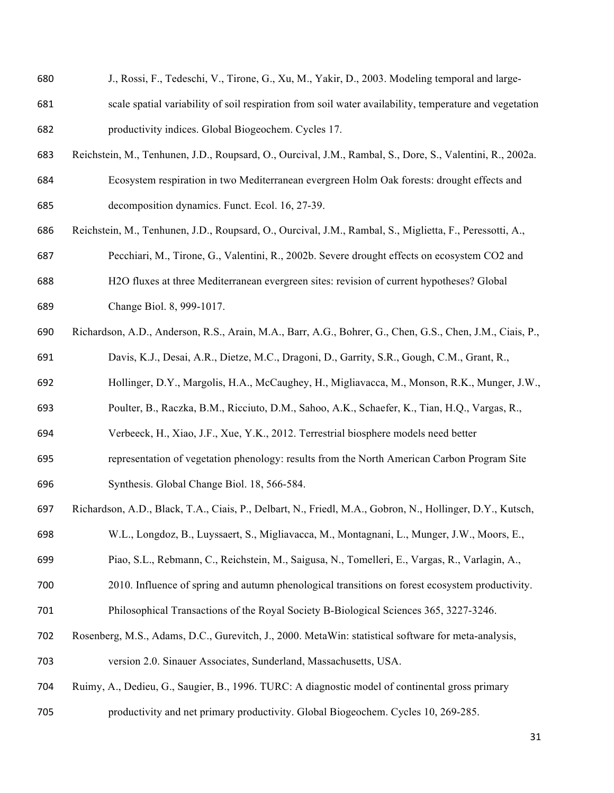| J., Rossi, F., Tedeschi, V., Tirone, G., Xu, M., Yakir, D., 2003. Modeling temporal and large-            |
|-----------------------------------------------------------------------------------------------------------|
| scale spatial variability of soil respiration from soil water availability, temperature and vegetation    |
| productivity indices. Global Biogeochem. Cycles 17.                                                       |
| Reichstein, M., Tenhunen, J.D., Roupsard, O., Ourcival, J.M., Rambal, S., Dore, S., Valentini, R., 2002a. |
| Ecosystem respiration in two Mediterranean evergreen Holm Oak forests: drought effects and                |
| decomposition dynamics. Funct. Ecol. 16, 27-39.                                                           |
| Reichstein, M., Tenhunen, J.D., Roupsard, O., Ourcival, J.M., Rambal, S., Miglietta, F., Peressotti, A.,  |
| Pecchiari, M., Tirone, G., Valentini, R., 2002b. Severe drought effects on ecosystem CO2 and              |
| H2O fluxes at three Mediterranean evergreen sites: revision of current hypotheses? Global                 |
| Change Biol. 8, 999-1017.                                                                                 |
| Richardson, A.D., Anderson, R.S., Arain, M.A., Barr, A.G., Bohrer, G., Chen, G.S., Chen, J.M., Ciais, P., |
| Davis, K.J., Desai, A.R., Dietze, M.C., Dragoni, D., Garrity, S.R., Gough, C.M., Grant, R.,               |
| Hollinger, D.Y., Margolis, H.A., McCaughey, H., Migliavacca, M., Monson, R.K., Munger, J.W.,              |
| Poulter, B., Raczka, B.M., Ricciuto, D.M., Sahoo, A.K., Schaefer, K., Tian, H.Q., Vargas, R.,             |
| Verbeeck, H., Xiao, J.F., Xue, Y.K., 2012. Terrestrial biosphere models need better                       |
| representation of vegetation phenology: results from the North American Carbon Program Site               |
| Synthesis. Global Change Biol. 18, 566-584.                                                               |
| Richardson, A.D., Black, T.A., Ciais, P., Delbart, N., Friedl, M.A., Gobron, N., Hollinger, D.Y., Kutsch, |
| W.L., Longdoz, B., Luyssaert, S., Migliavacca, M., Montagnani, L., Munger, J.W., Moors, E.,               |
| Piao, S.L., Rebmann, C., Reichstein, M., Saigusa, N., Tomelleri, E., Vargas, R., Varlagin, A.,            |
| 2010. Influence of spring and autumn phenological transitions on forest ecosystem productivity.           |
| Philosophical Transactions of the Royal Society B-Biological Sciences 365, 3227-3246.                     |
| Rosenberg, M.S., Adams, D.C., Gurevitch, J., 2000. MetaWin: statistical software for meta-analysis,       |
|                                                                                                           |

- version 2.0. Sinauer Associates, Sunderland, Massachusetts, USA.
- Ruimy, A., Dedieu, G., Saugier, B., 1996. TURC: A diagnostic model of continental gross primary
- productivity and net primary productivity. Global Biogeochem. Cycles 10, 269-285.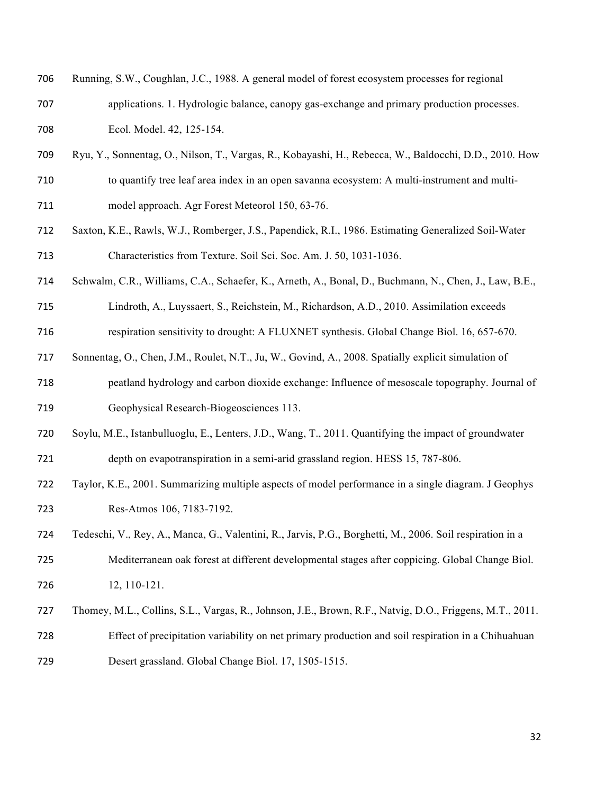| 706 | Running, S.W., Coughlan, J.C., 1988. A general model of forest ecosystem processes for regional           |
|-----|-----------------------------------------------------------------------------------------------------------|
| 707 | applications. 1. Hydrologic balance, can opy gas-exchange and primary production processes.               |
| 708 | Ecol. Model. 42, 125-154.                                                                                 |
| 709 | Ryu, Y., Sonnentag, O., Nilson, T., Vargas, R., Kobayashi, H., Rebecca, W., Baldocchi, D.D., 2010. How    |
| 710 | to quantify tree leaf area index in an open savanna ecosystem: A multi-instrument and multi-              |
| 711 | model approach. Agr Forest Meteorol 150, 63-76.                                                           |
| 712 | Saxton, K.E., Rawls, W.J., Romberger, J.S., Papendick, R.I., 1986. Estimating Generalized Soil-Water      |
| 713 | Characteristics from Texture. Soil Sci. Soc. Am. J. 50, 1031-1036.                                        |
| 714 | Schwalm, C.R., Williams, C.A., Schaefer, K., Arneth, A., Bonal, D., Buchmann, N., Chen, J., Law, B.E.,    |
| 715 | Lindroth, A., Luyssaert, S., Reichstein, M., Richardson, A.D., 2010. Assimilation exceeds                 |
| 716 | respiration sensitivity to drought: A FLUXNET synthesis. Global Change Biol. 16, 657-670.                 |
| 717 | Sonnentag, O., Chen, J.M., Roulet, N.T., Ju, W., Govind, A., 2008. Spatially explicit simulation of       |
| 718 | peatland hydrology and carbon dioxide exchange: Influence of mesoscale topography. Journal of             |
| 719 | Geophysical Research-Biogeosciences 113.                                                                  |
| 720 | Soylu, M.E., Istanbulluoglu, E., Lenters, J.D., Wang, T., 2011. Quantifying the impact of groundwater     |
| 721 | depth on evapotranspiration in a semi-arid grassland region. HESS 15, 787-806.                            |
| 722 | Taylor, K.E., 2001. Summarizing multiple aspects of model performance in a single diagram. J Geophys      |
| 723 | Res-Atmos 106, 7183-7192.                                                                                 |
| 724 | Tedeschi, V., Rey, A., Manca, G., Valentini, R., Jarvis, P.G., Borghetti, M., 2006. Soil respiration in a |
| 725 | Mediterranean oak forest at different developmental stages after coppicing. Global Change Biol.           |
| 726 | 12, 110-121.                                                                                              |
| 727 | Thomey, M.L., Collins, S.L., Vargas, R., Johnson, J.E., Brown, R.F., Natvig, D.O., Friggens, M.T., 2011.  |
| 728 | Effect of precipitation variability on net primary production and soil respiration in a Chihuahuan        |
| 729 | Desert grassland. Global Change Biol. 17, 1505-1515.                                                      |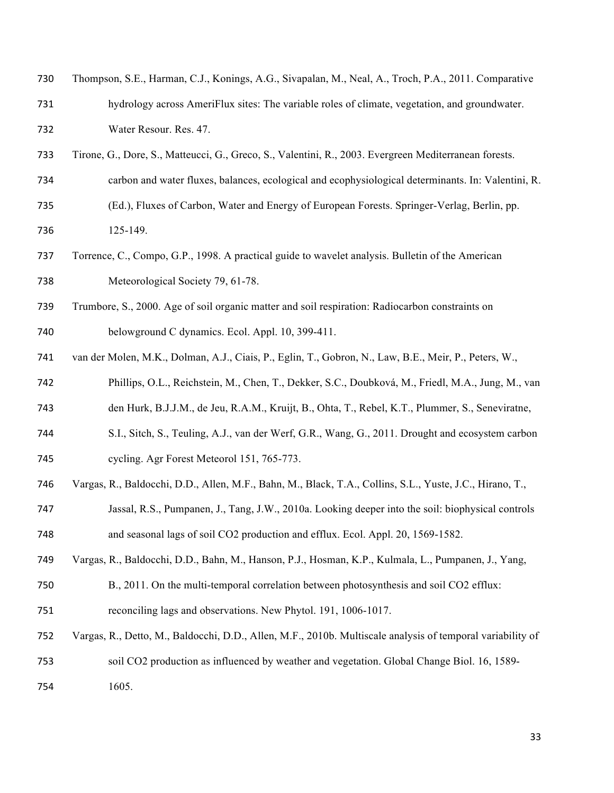| 730 | Thompson, S.E., Harman, C.J., Konings, A.G., Sivapalan, M., Neal, A., Troch, P.A., 2011. Comparative |
|-----|------------------------------------------------------------------------------------------------------|
| 731 | hydrology across AmeriFlux sites: The variable roles of climate, vegetation, and groundwater.        |
| 732 | Water Resour. Res. 47.                                                                               |

- Tirone, G., Dore, S., Matteucci, G., Greco, S., Valentini, R., 2003. Evergreen Mediterranean forests.
- carbon and water fluxes, balances, ecological and ecophysiological determinants. In: Valentini, R.
- (Ed.), Fluxes of Carbon, Water and Energy of European Forests. Springer-Verlag, Berlin, pp. 125-149.
- Torrence, C., Compo, G.P., 1998. A practical guide to wavelet analysis. Bulletin of the American 738 Meteorological Society 79, 61-78.
- Trumbore, S., 2000. Age of soil organic matter and soil respiration: Radiocarbon constraints on
- belowground C dynamics. Ecol. Appl. 10, 399-411.
- van der Molen, M.K., Dolman, A.J., Ciais, P., Eglin, T., Gobron, N., Law, B.E., Meir, P., Peters, W.,
- Phillips, O.L., Reichstein, M., Chen, T., Dekker, S.C., Doubková, M., Friedl, M.A., Jung, M., van
- den Hurk, B.J.J.M., de Jeu, R.A.M., Kruijt, B., Ohta, T., Rebel, K.T., Plummer, S., Seneviratne,
- S.I., Sitch, S., Teuling, A.J., van der Werf, G.R., Wang, G., 2011. Drought and ecosystem carbon
- cycling. Agr Forest Meteorol 151, 765-773.
- Vargas, R., Baldocchi, D.D., Allen, M.F., Bahn, M., Black, T.A., Collins, S.L., Yuste, J.C., Hirano, T.,
- Jassal, R.S., Pumpanen, J., Tang, J.W., 2010a. Looking deeper into the soil: biophysical controls and seasonal lags of soil CO2 production and efflux. Ecol. Appl. 20, 1569-1582.
- Vargas, R., Baldocchi, D.D., Bahn, M., Hanson, P.J., Hosman, K.P., Kulmala, L., Pumpanen, J., Yang,
- B., 2011. On the multi-temporal correlation between photosynthesis and soil CO2 efflux: reconciling lags and observations. New Phytol. 191, 1006-1017.
- Vargas, R., Detto, M., Baldocchi, D.D., Allen, M.F., 2010b. Multiscale analysis of temporal variability of soil CO2 production as influenced by weather and vegetation. Global Change Biol. 16, 1589-
- 1605.